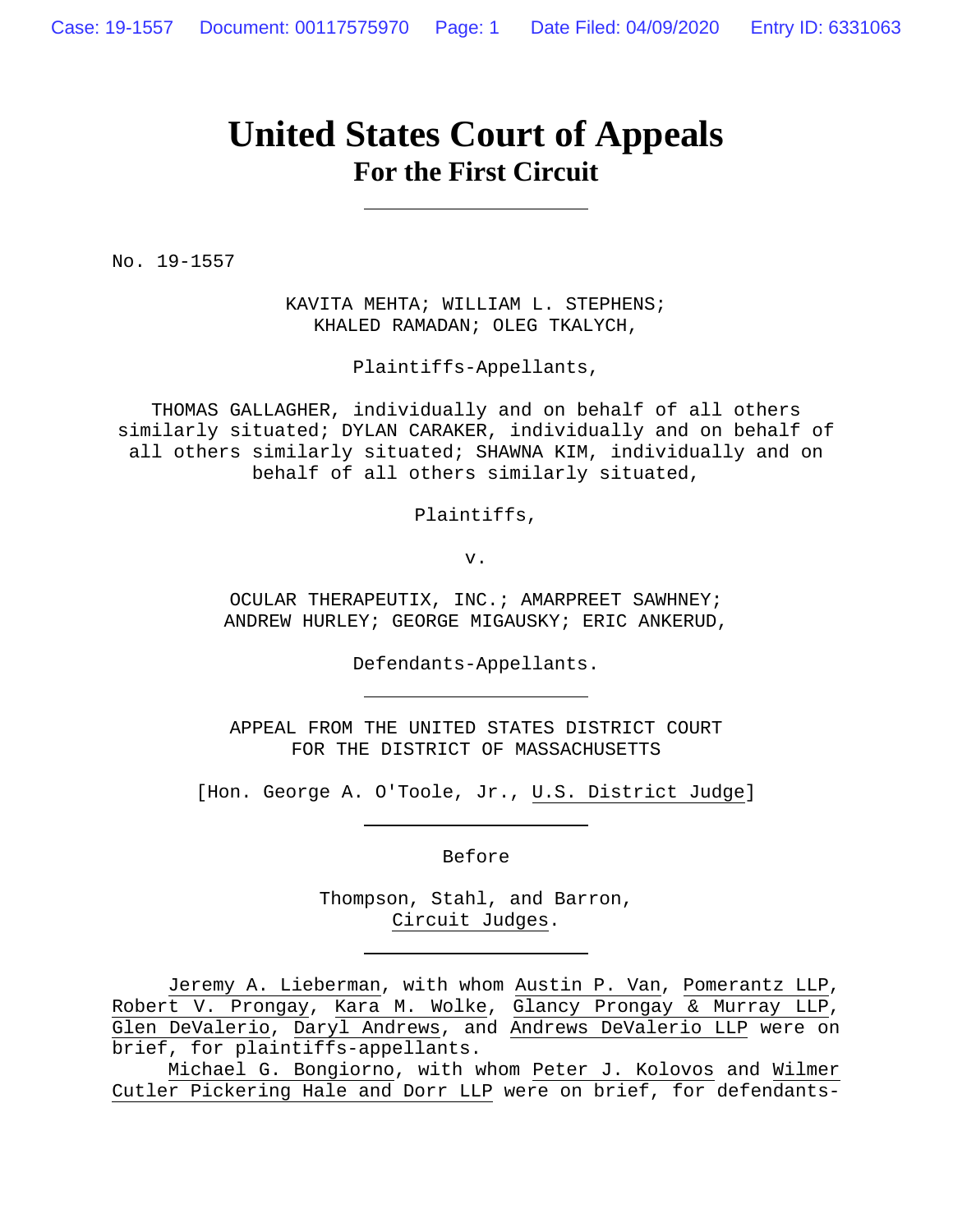# **United States Court of Appeals For the First Circuit**

No. 19-1557

KAVITA MEHTA; WILLIAM L. STEPHENS; KHALED RAMADAN; OLEG TKALYCH,

Plaintiffs-Appellants,

THOMAS GALLAGHER, individually and on behalf of all others similarly situated; DYLAN CARAKER, individually and on behalf of all others similarly situated; SHAWNA KIM, individually and on behalf of all others similarly situated,

Plaintiffs,

v.

OCULAR THERAPEUTIX, INC.; AMARPREET SAWHNEY; ANDREW HURLEY; GEORGE MIGAUSKY; ERIC ANKERUD,

Defendants-Appellants.

APPEAL FROM THE UNITED STATES DISTRICT COURT FOR THE DISTRICT OF MASSACHUSETTS

[Hon. George A. O'Toole, Jr., U.S. District Judge]

Before

Thompson, Stahl, and Barron, Circuit Judges.

Jeremy A. Lieberman, with whom Austin P. Van, Pomerantz LLP, Robert V. Prongay, Kara M. Wolke, Glancy Prongay & Murray LLP, Glen DeValerio, Daryl Andrews, and Andrews DeValerio LLP were on brief, for plaintiffs-appellants.

Michael G. Bongiorno, with whom Peter J. Kolovos and Wilmer Cutler Pickering Hale and Dorr LLP were on brief, for defendants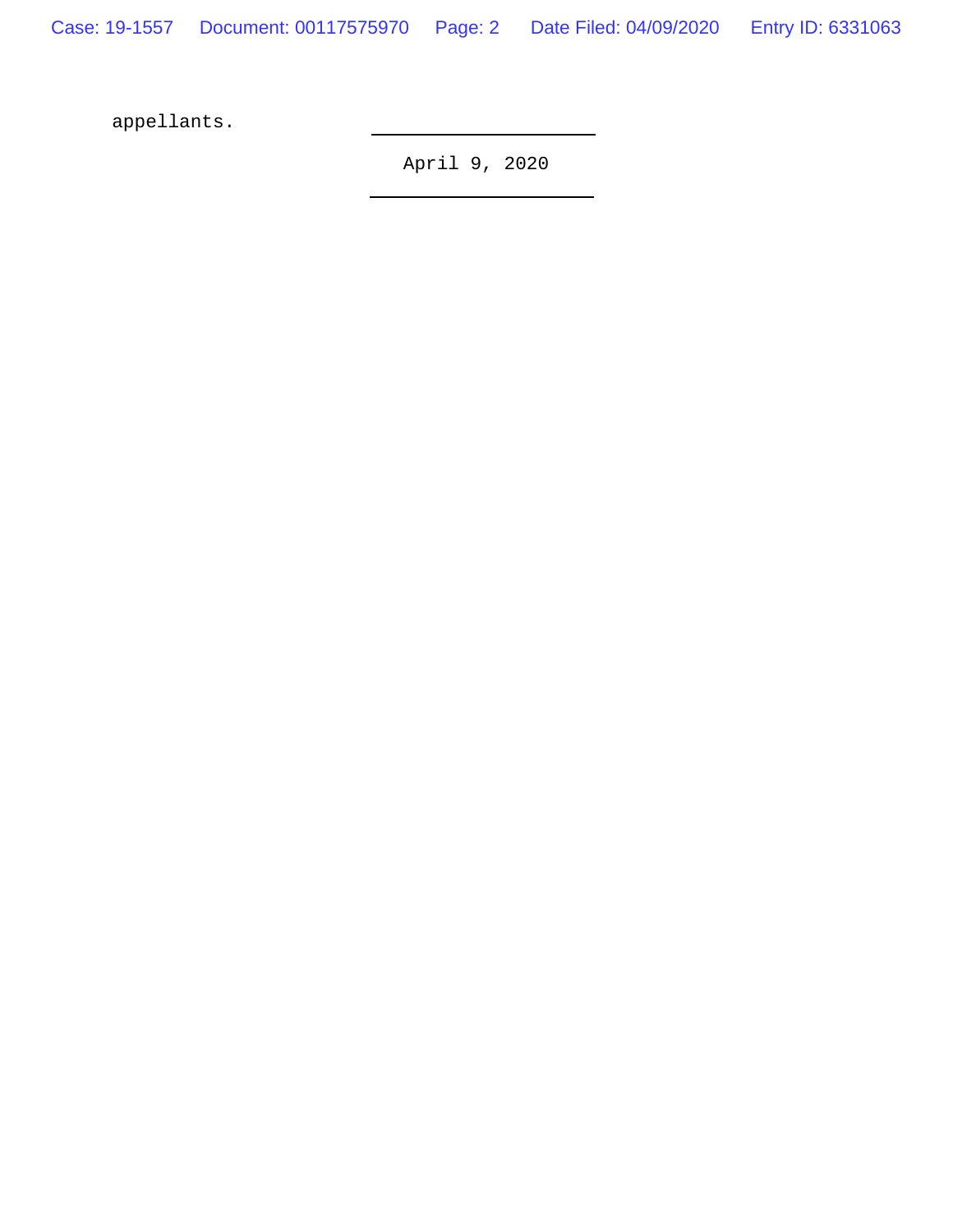Case: 19-1557 Document: 00117575970 Page: 2 Date Filed: 04/09/2020 Entry ID: 6331063

appellants.

April 9, 2020

L,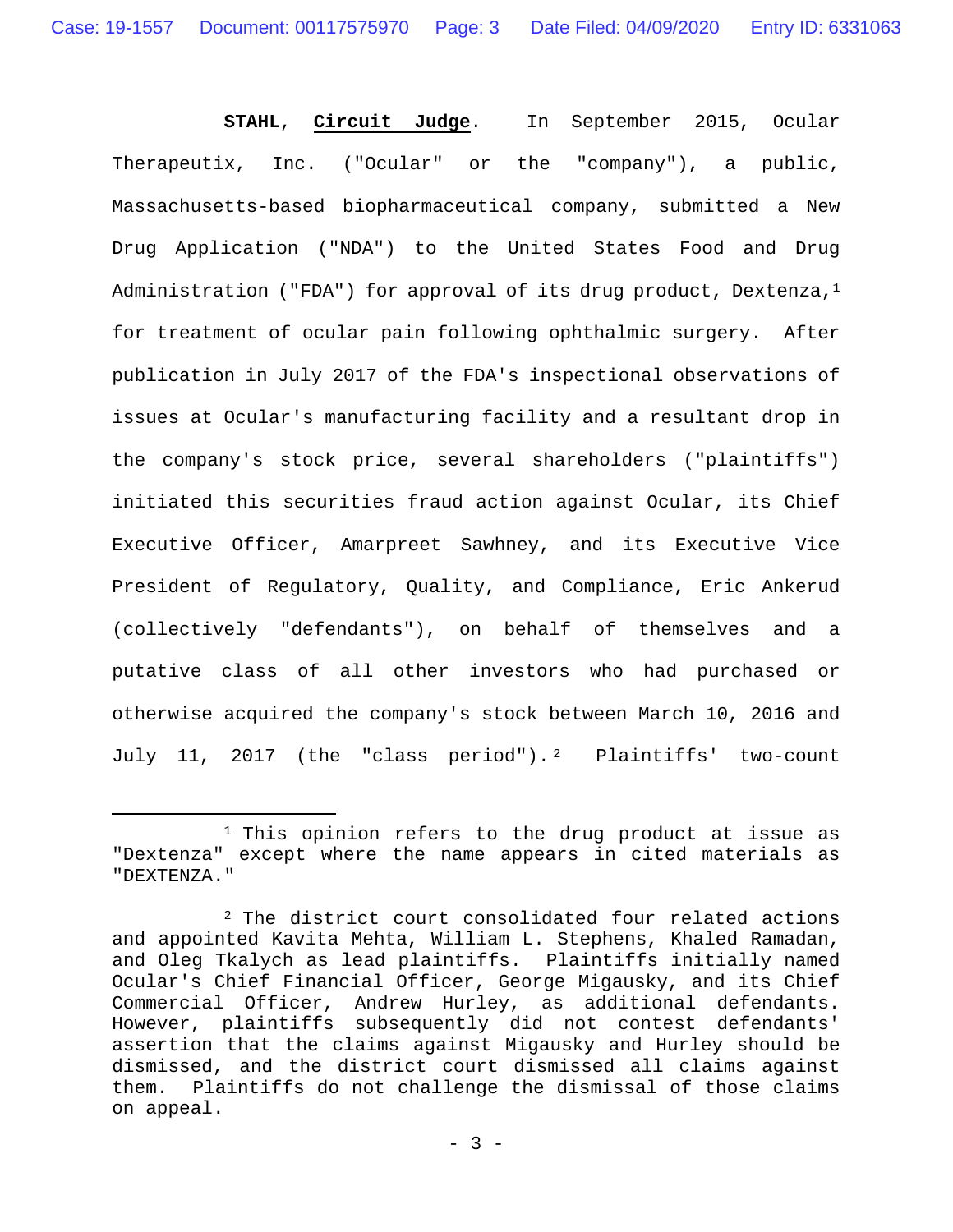**STAHL**, **Circuit Judge**. In September 2015, Ocular Therapeutix, Inc. ("Ocular" or the "company"), a public, Massachusetts-based biopharmaceutical company, submitted a New Drug Application ("NDA") to the United States Food and Drug Administration ("FDA") for approval of its drug product, Dextenza, $<sup>1</sup>$ </sup> for treatment of ocular pain following ophthalmic surgery. After publication in July 2017 of the FDA's inspectional observations of issues at Ocular's manufacturing facility and a resultant drop in the company's stock price, several shareholders ("plaintiffs") initiated this securities fraud action against Ocular, its Chief Executive Officer, Amarpreet Sawhney, and its Executive Vice President of Regulatory, Quality, and Compliance, Eric Ankerud (collectively "defendants"), on behalf of themselves and a putative class of all other investors who had purchased or otherwise acquired the company's stock between March 10, 2016 and July 11, 2017 (the "class period").<sup>2</sup> Plaintiffs' two-count

<sup>&</sup>lt;sup>1</sup> This opinion refers to the drug product at issue as "Dextenza" except where the name appears in cited materials as "DEXTENZA."

<sup>2</sup> The district court consolidated four related actions and appointed Kavita Mehta, William L. Stephens, Khaled Ramadan, and Oleg Tkalych as lead plaintiffs. Plaintiffs initially named Ocular's Chief Financial Officer, George Migausky, and its Chief Commercial Officer, Andrew Hurley, as additional defendants. However, plaintiffs subsequently did not contest defendants' assertion that the claims against Migausky and Hurley should be dismissed, and the district court dismissed all claims against them. Plaintiffs do not challenge the dismissal of those claims on appeal.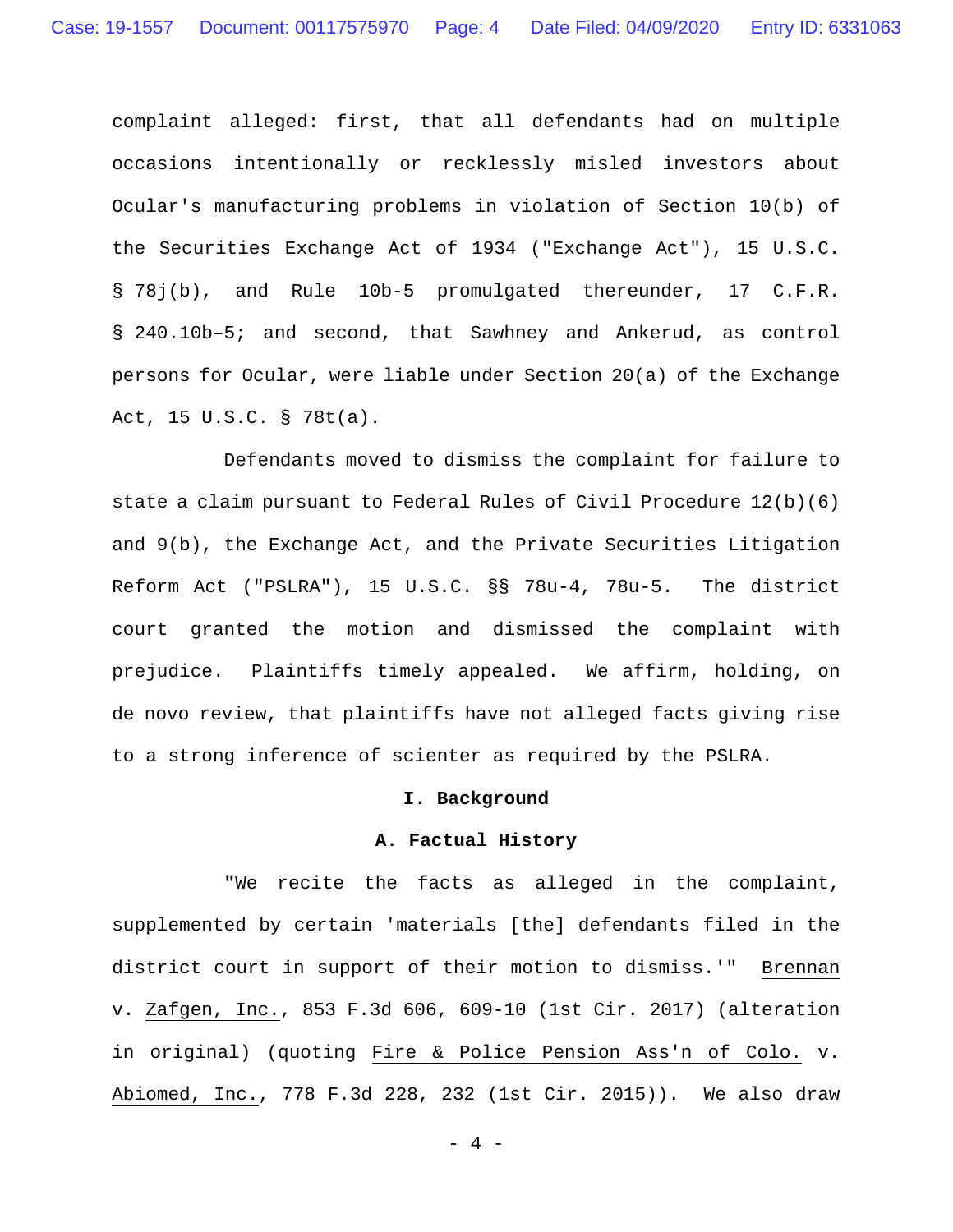complaint alleged: first, that all defendants had on multiple occasions intentionally or recklessly misled investors about Ocular's manufacturing problems in violation of Section 10(b) of the Securities Exchange Act of 1934 ("Exchange Act"), 15 U.S.C. § 78j(b), and Rule 10b-5 promulgated thereunder, 17 C.F.R. § 240.10b–5; and second, that Sawhney and Ankerud, as control persons for Ocular, were liable under Section 20(a) of the Exchange Act, 15 U.S.C. § 78t(a).

Defendants moved to dismiss the complaint for failure to state a claim pursuant to Federal Rules of Civil Procedure 12(b)(6) and 9(b), the Exchange Act, and the Private Securities Litigation Reform Act ("PSLRA"), 15 U.S.C. §§ 78u-4, 78u-5. The district court granted the motion and dismissed the complaint with prejudice. Plaintiffs timely appealed. We affirm, holding, on de novo review, that plaintiffs have not alleged facts giving rise to a strong inference of scienter as required by the PSLRA.

### **I. Background**

#### **A. Factual History**

 **"**We recite the facts as alleged in the complaint, supplemented by certain 'materials [the] defendants filed in the district court in support of their motion to dismiss.'" Brennan v. Zafgen, Inc., 853 F.3d 606, 609-10 (1st Cir. 2017) (alteration in original) (quoting Fire & Police Pension Ass'n of Colo. v. Abiomed, Inc., 778 F.3d 228, 232 (1st Cir. 2015)). We also draw

- 4 -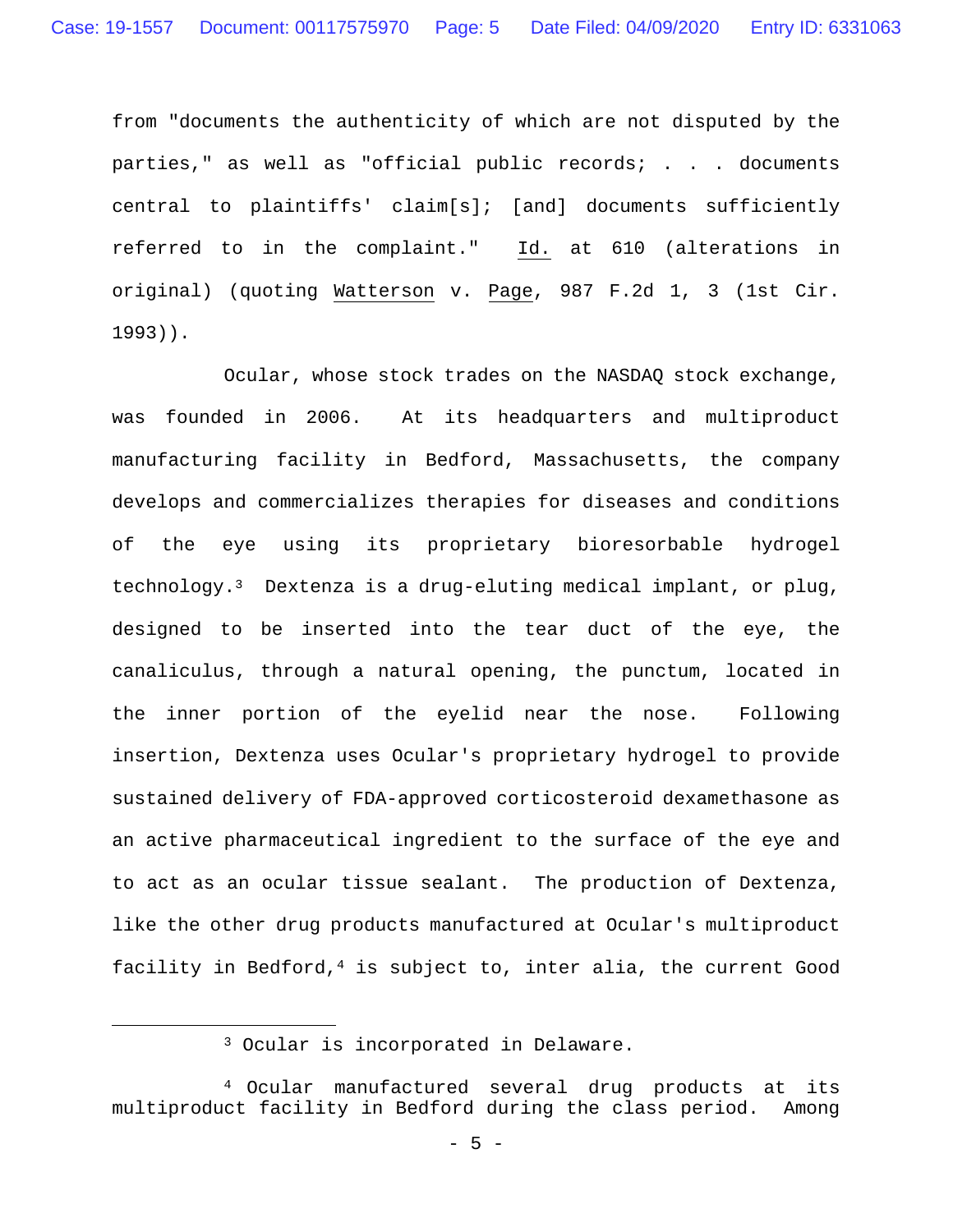from "documents the authenticity of which are not disputed by the parties," as well as "official public records; . . . documents central to plaintiffs' claim[s]; [and] documents sufficiently referred to in the complaint." Id. at 610 (alterations in original) (quoting Watterson v. Page, 987 F.2d 1, 3 (1st Cir. 1993)).

 Ocular, whose stock trades on the NASDAQ stock exchange, was founded in 2006. At its headquarters and multiproduct manufacturing facility in Bedford, Massachusetts, the company develops and commercializes therapies for diseases and conditions of the eye using its proprietary bioresorbable hydrogel technology.3 Dextenza is a drug-eluting medical implant, or plug, designed to be inserted into the tear duct of the eye, the canaliculus, through a natural opening, the punctum, located in the inner portion of the eyelid near the nose. Following insertion, Dextenza uses Ocular's proprietary hydrogel to provide sustained delivery of FDA-approved corticosteroid dexamethasone as an active pharmaceutical ingredient to the surface of the eye and to act as an ocular tissue sealant. The production of Dextenza, like the other drug products manufactured at Ocular's multiproduct facility in Bedford, $4$  is subject to, inter alia, the current Good

 <sup>3</sup> Ocular is incorporated in Delaware.

<sup>4</sup> Ocular manufactured several drug products at its multiproduct facility in Bedford during the class period. Among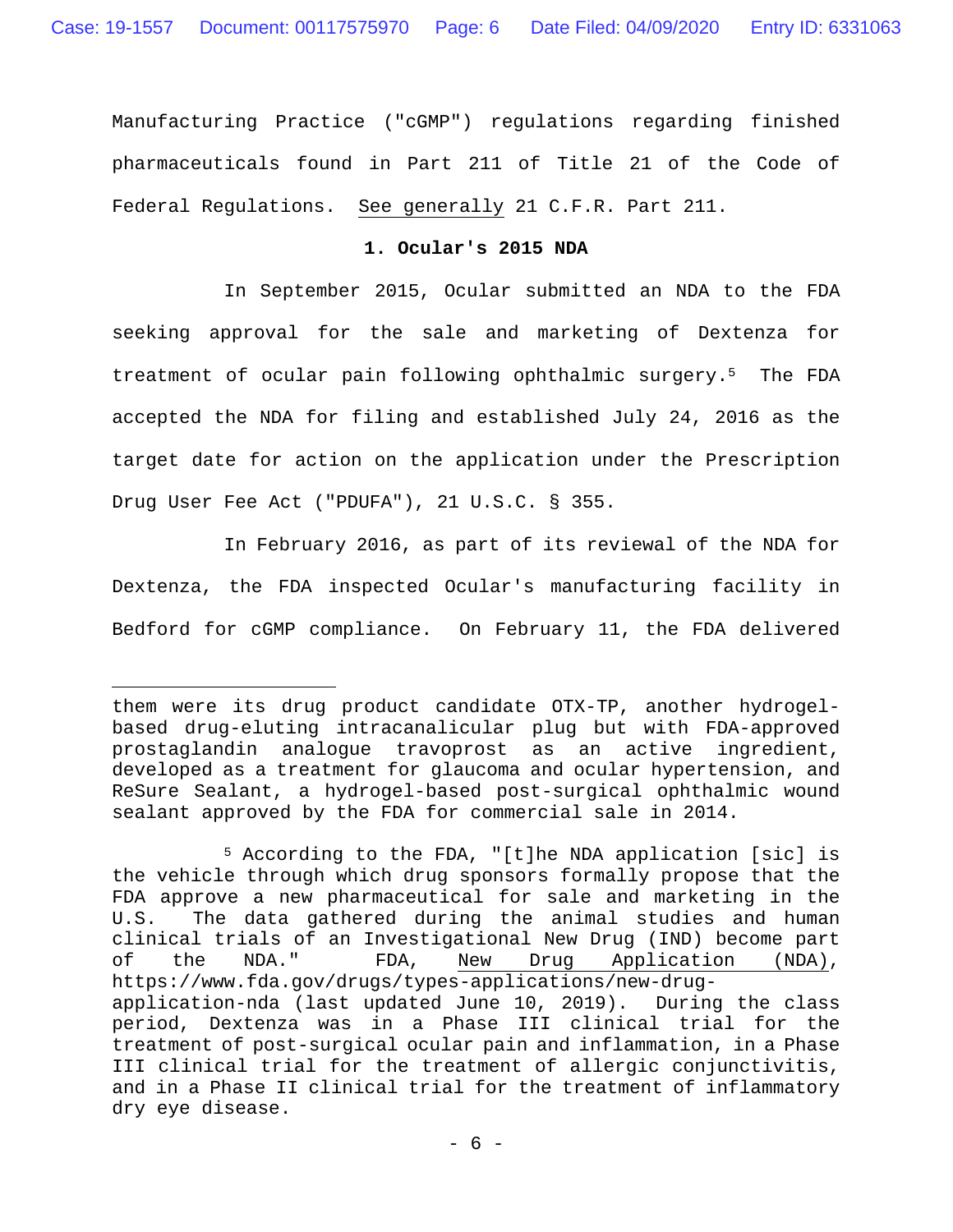Manufacturing Practice ("cGMP") regulations regarding finished pharmaceuticals found in Part 211 of Title 21 of the Code of Federal Regulations. See generally 21 C.F.R. Part 211.

#### **1. Ocular's 2015 NDA**

 In September 2015, Ocular submitted an NDA to the FDA seeking approval for the sale and marketing of Dextenza for treatment of ocular pain following ophthalmic surgery.5 The FDA accepted the NDA for filing and established July 24, 2016 as the target date for action on the application under the Prescription Drug User Fee Act ("PDUFA"), 21 U.S.C. § 355.

 In February 2016, as part of its reviewal of the NDA for Dextenza, the FDA inspected Ocular's manufacturing facility in Bedford for cGMP compliance. On February 11, the FDA delivered

 $\overline{\phantom{0}}$ 

them were its drug product candidate OTX-TP, another hydrogelbased drug-eluting intracanalicular plug but with FDA-approved prostaglandin analogue travoprost as an active ingredient, developed as a treatment for glaucoma and ocular hypertension, and ReSure Sealant, a hydrogel-based post-surgical ophthalmic wound sealant approved by the FDA for commercial sale in 2014.

<sup>5</sup> According to the FDA, "[t]he NDA application [sic] is the vehicle through which drug sponsors formally propose that the FDA approve a new pharmaceutical for sale and marketing in the U.S. The data gathered during the animal studies and human clinical trials of an Investigational New Drug (IND) become part of the NDA." FDA, New Drug Application (NDA), https://www.fda.gov/drugs/types-applications/new-drugapplication-nda (last updated June 10, 2019). During the class period, Dextenza was in a Phase III clinical trial for the treatment of post-surgical ocular pain and inflammation, in a Phase III clinical trial for the treatment of allergic conjunctivitis, and in a Phase II clinical trial for the treatment of inflammatory dry eye disease.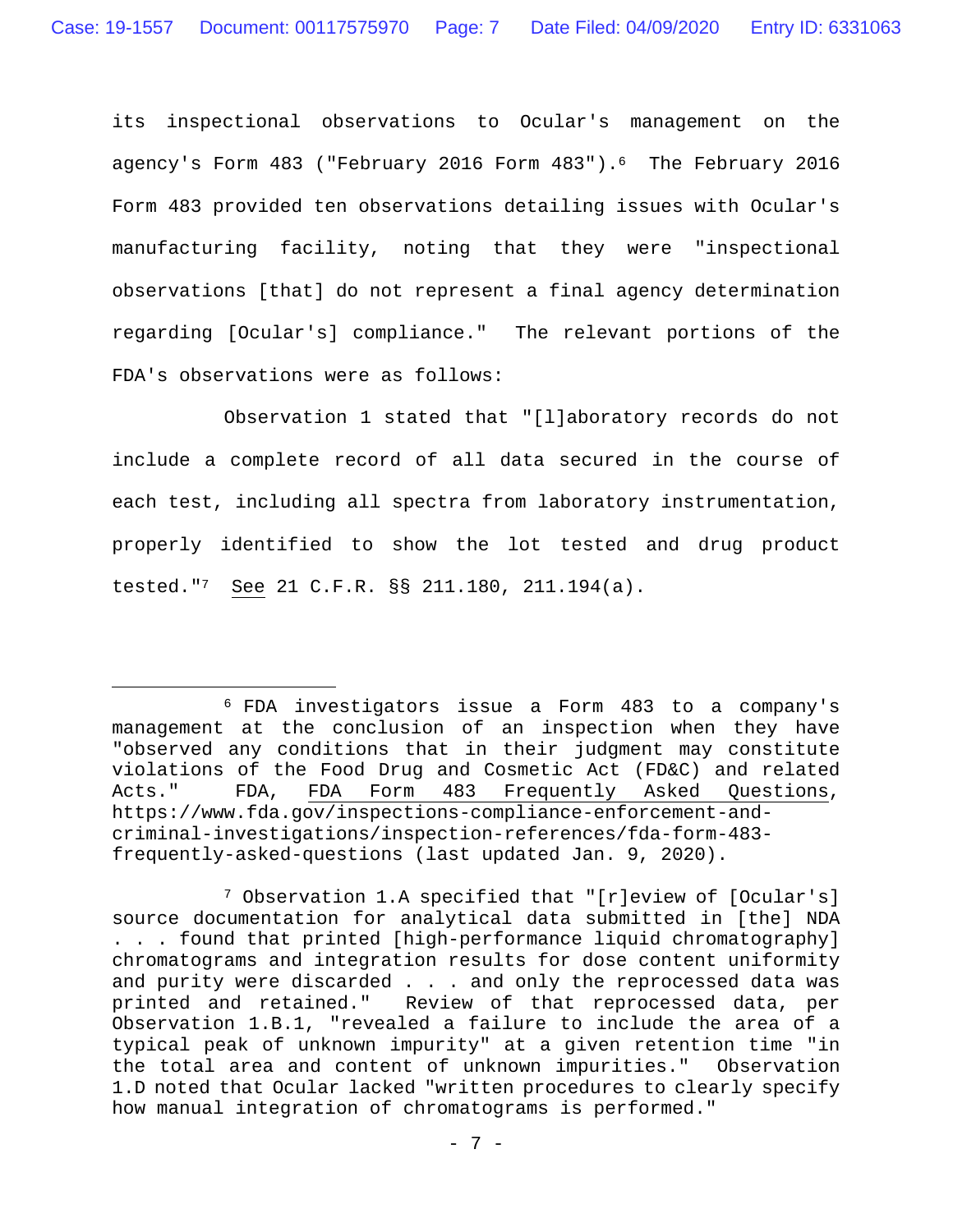its inspectional observations to Ocular's management on the agency's Form 483 ("February 2016 Form 483").<sup>6</sup> The February 2016 Form 483 provided ten observations detailing issues with Ocular's manufacturing facility, noting that they were "inspectional observations [that] do not represent a final agency determination regarding [Ocular's] compliance." The relevant portions of the FDA's observations were as follows:

 Observation 1 stated that "[l]aboratory records do not include a complete record of all data secured in the course of each test, including all spectra from laboratory instrumentation, properly identified to show the lot tested and drug product tested."7 See 21 C.F.R. §§ 211.180, 211.194(a).

 <sup>6</sup> FDA investigators issue a Form 483 to a company's management at the conclusion of an inspection when they have "observed any conditions that in their judgment may constitute violations of the Food Drug and Cosmetic Act (FD&C) and related Acts." FDA, FDA Form 483 Frequently Asked Questions, https://www.fda.gov/inspections-compliance-enforcement-andcriminal-investigations/inspection-references/fda-form-483 frequently-asked-questions (last updated Jan. 9, 2020).

<sup>7</sup> Observation 1.A specified that "[r]eview of [Ocular's] source documentation for analytical data submitted in [the] NDA . . . found that printed [high-performance liquid chromatography] chromatograms and integration results for dose content uniformity and purity were discarded . . . and only the reprocessed data was printed and retained." Review of that reprocessed data, per Observation 1.B.1, "revealed a failure to include the area of a typical peak of unknown impurity" at a given retention time "in the total area and content of unknown impurities." Observation 1.D noted that Ocular lacked "written procedures to clearly specify how manual integration of chromatograms is performed."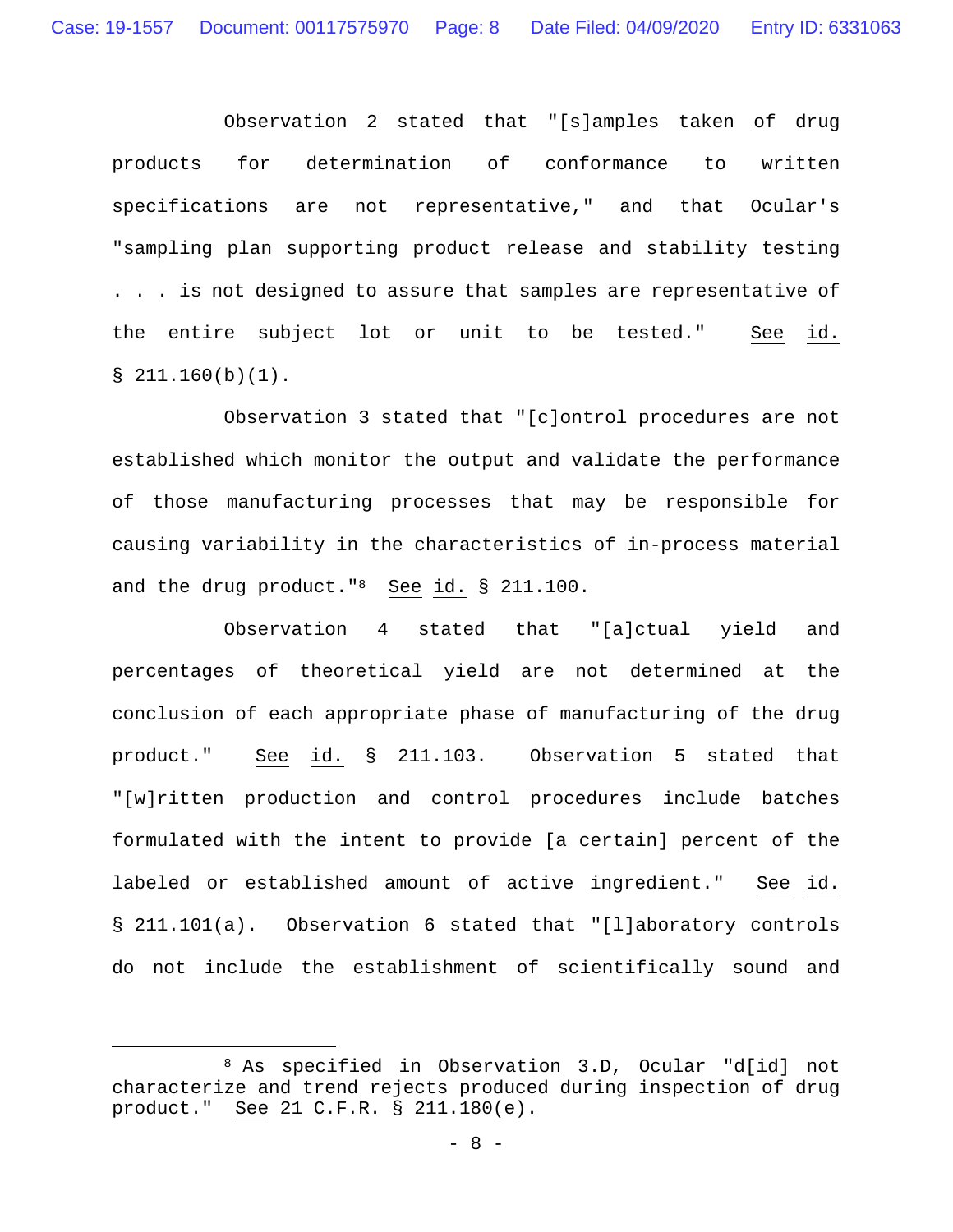Observation 2 stated that "[s]amples taken of drug products for determination of conformance to written specifications are not representative," and that Ocular's "sampling plan supporting product release and stability testing . . . is not designed to assure that samples are representative of the entire subject lot or unit to be tested." See id.  $$211.160(b)(1)$ .

 Observation 3 stated that "[c]ontrol procedures are not established which monitor the output and validate the performance of those manufacturing processes that may be responsible for causing variability in the characteristics of in-process material and the drug product."8 See id. § 211.100.

 Observation 4 stated that "[a]ctual yield and percentages of theoretical yield are not determined at the conclusion of each appropriate phase of manufacturing of the drug product." See id. § 211.103. Observation 5 stated that "[w]ritten production and control procedures include batches formulated with the intent to provide [a certain] percent of the labeled or established amount of active ingredient." See id. § 211.101(a). Observation 6 stated that "[l]aboratory controls do not include the establishment of scientifically sound and

 <sup>8</sup> As specified in Observation 3.D, Ocular "d[id] not characterize and trend rejects produced during inspection of drug product." See 21 C.F.R. § 211.180(e).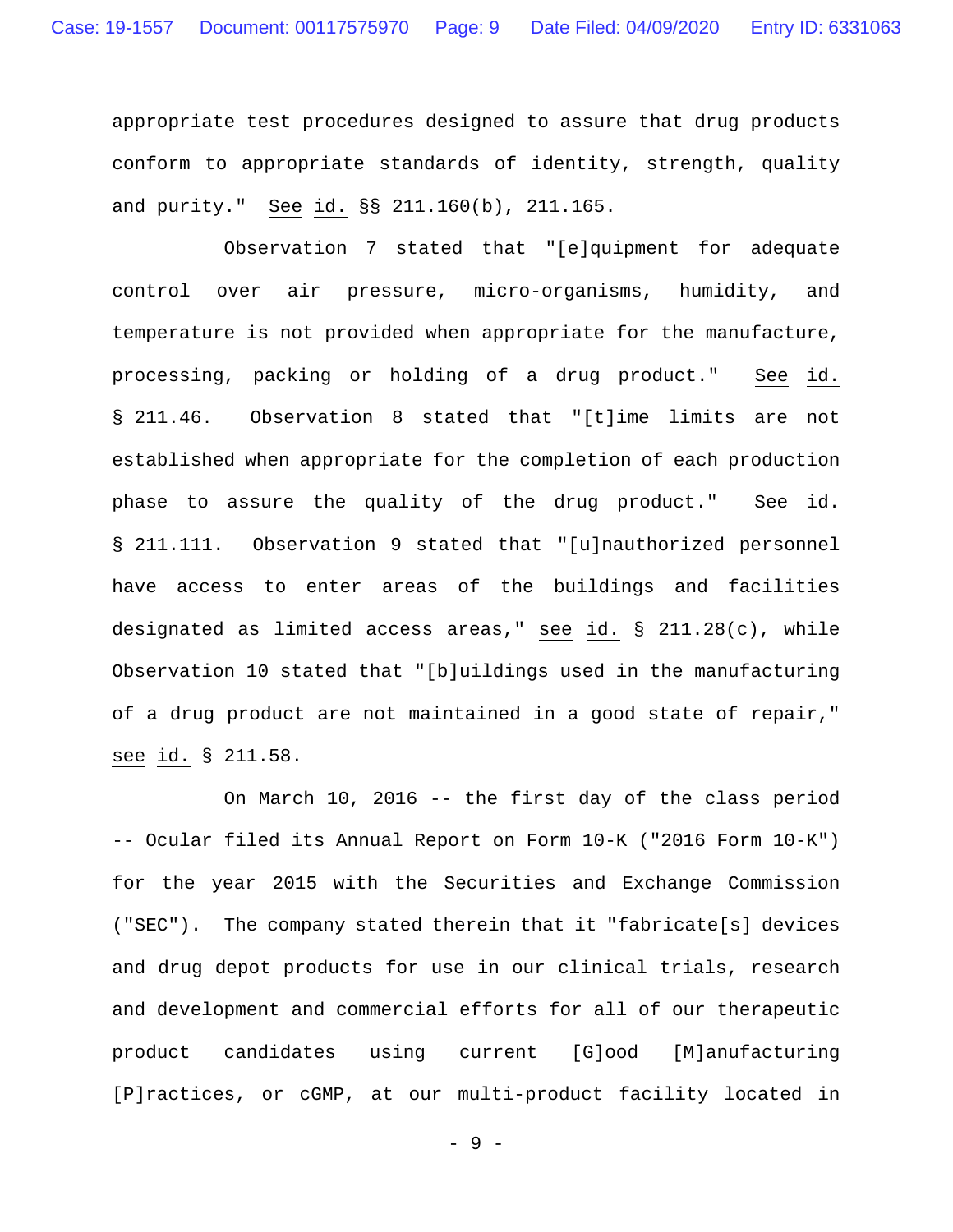appropriate test procedures designed to assure that drug products conform to appropriate standards of identity, strength, quality and purity." See id. §§ 211.160(b), 211.165.

Observation 7 stated that "[e]quipment for adequate control over air pressure, micro-organisms, humidity, and temperature is not provided when appropriate for the manufacture, processing, packing or holding of a drug product." See id. § 211.46. Observation 8 stated that "[t]ime limits are not established when appropriate for the completion of each production phase to assure the quality of the drug product." See id. § 211.111. Observation 9 stated that "[u]nauthorized personnel have access to enter areas of the buildings and facilities designated as limited access areas," see id. § 211.28(c), while Observation 10 stated that "[b]uildings used in the manufacturing of a drug product are not maintained in a good state of repair," see id. § 211.58.

 On March 10, 2016 -- the first day of the class period -- Ocular filed its Annual Report on Form 10-K ("2016 Form 10-K") for the year 2015 with the Securities and Exchange Commission ("SEC"). The company stated therein that it "fabricate[s] devices and drug depot products for use in our clinical trials, research and development and commercial efforts for all of our therapeutic product candidates using current [G]ood [M]anufacturing [P]ractices, or cGMP, at our multi-product facility located in

- 9 -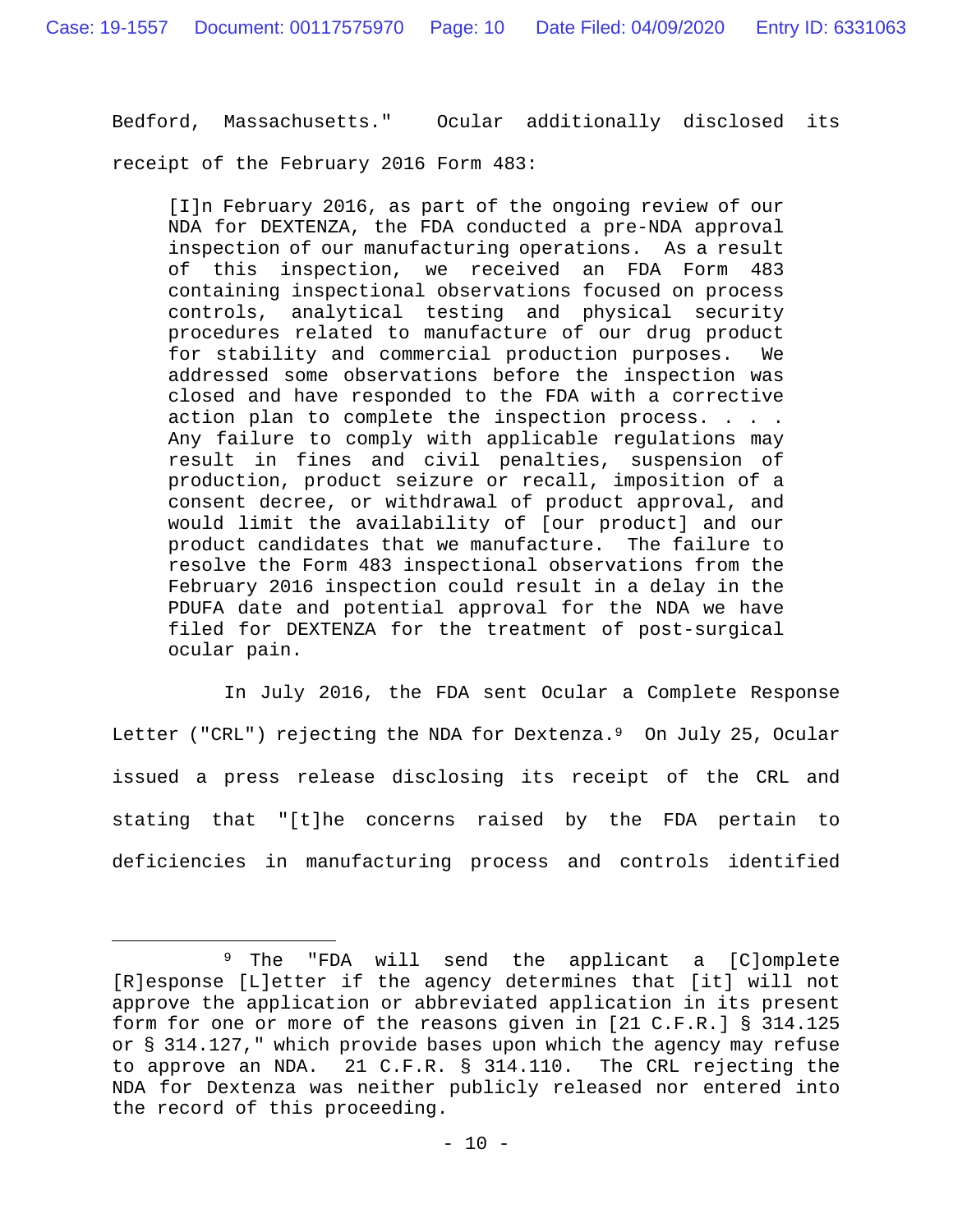Bedford, Massachusetts." Ocular additionally disclosed its

receipt of the February 2016 Form 483:

[I]n February 2016, as part of the ongoing review of our NDA for DEXTENZA, the FDA conducted a pre-NDA approval inspection of our manufacturing operations. As a result of this inspection, we received an FDA Form 483 containing inspectional observations focused on process controls, analytical testing and physical security procedures related to manufacture of our drug product for stability and commercial production purposes. We addressed some observations before the inspection was closed and have responded to the FDA with a corrective action plan to complete the inspection process. . . . Any failure to comply with applicable regulations may result in fines and civil penalties, suspension of production, product seizure or recall, imposition of a consent decree, or withdrawal of product approval, and would limit the availability of [our product] and our product candidates that we manufacture. The failure to resolve the Form 483 inspectional observations from the February 2016 inspection could result in a delay in the PDUFA date and potential approval for the NDA we have filed for DEXTENZA for the treatment of post-surgical ocular pain.

In July 2016, the FDA sent Ocular a Complete Response Letter ("CRL") rejecting the NDA for Dextenza.<sup>9</sup> On July 25, Ocular issued a press release disclosing its receipt of the CRL and stating that "[t]he concerns raised by the FDA pertain to deficiencies in manufacturing process and controls identified

 <sup>9</sup> The "FDA will send the applicant a [C]omplete [R]esponse [L]etter if the agency determines that [it] will not approve the application or abbreviated application in its present form for one or more of the reasons given in [21 C.F.R.] § 314.125 or § 314.127," which provide bases upon which the agency may refuse to approve an NDA. 21 C.F.R. § 314.110. The CRL rejecting the NDA for Dextenza was neither publicly released nor entered into the record of this proceeding.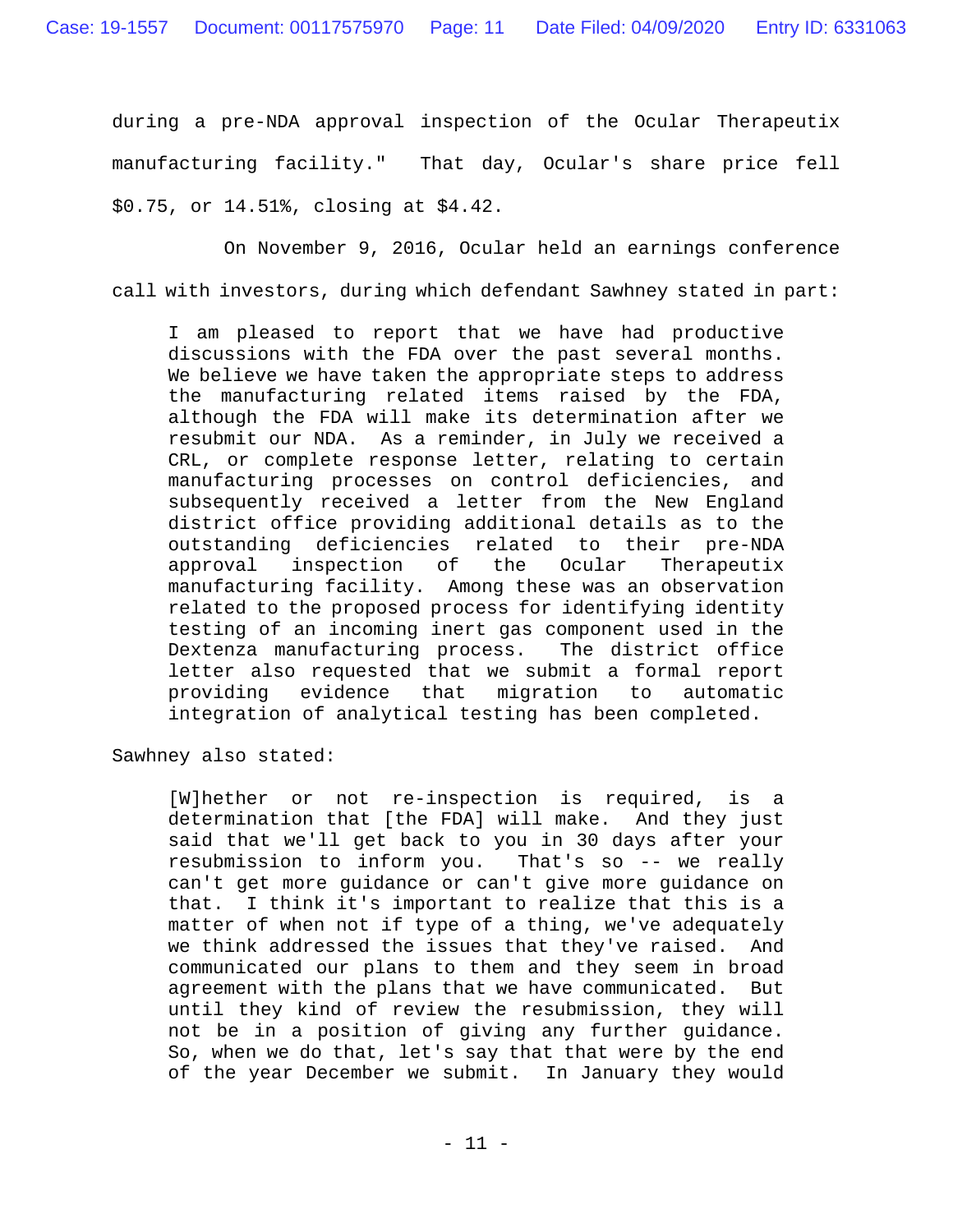during a pre-NDA approval inspection of the Ocular Therapeutix manufacturing facility." That day, Ocular's share price fell \$0.75, or 14.51%, closing at \$4.42.

 On November 9, 2016, Ocular held an earnings conference call with investors, during which defendant Sawhney stated in part:

I am pleased to report that we have had productive discussions with the FDA over the past several months. We believe we have taken the appropriate steps to address the manufacturing related items raised by the FDA, although the FDA will make its determination after we resubmit our NDA. As a reminder, in July we received a CRL, or complete response letter, relating to certain manufacturing processes on control deficiencies, and subsequently received a letter from the New England district office providing additional details as to the outstanding deficiencies related to their pre-NDA<br>approval inspection of the Ocular Therapeutix approval inspection of the Ocular Therapeutix manufacturing facility. Among these was an observation related to the proposed process for identifying identity testing of an incoming inert gas component used in the Dextenza manufacturing process. The district office letter also requested that we submit a formal report providing evidence that migration to automatic integration of analytical testing has been completed.

Sawhney also stated:

[W]hether or not re-inspection is required, is a determination that [the FDA] will make. And they just said that we'll get back to you in 30 days after your resubmission to inform you. That's so -- we really can't get more guidance or can't give more guidance on that. I think it's important to realize that this is a matter of when not if type of a thing, we've adequately we think addressed the issues that they've raised. And communicated our plans to them and they seem in broad agreement with the plans that we have communicated. But until they kind of review the resubmission, they will not be in a position of giving any further guidance. So, when we do that, let's say that that were by the end of the year December we submit. In January they would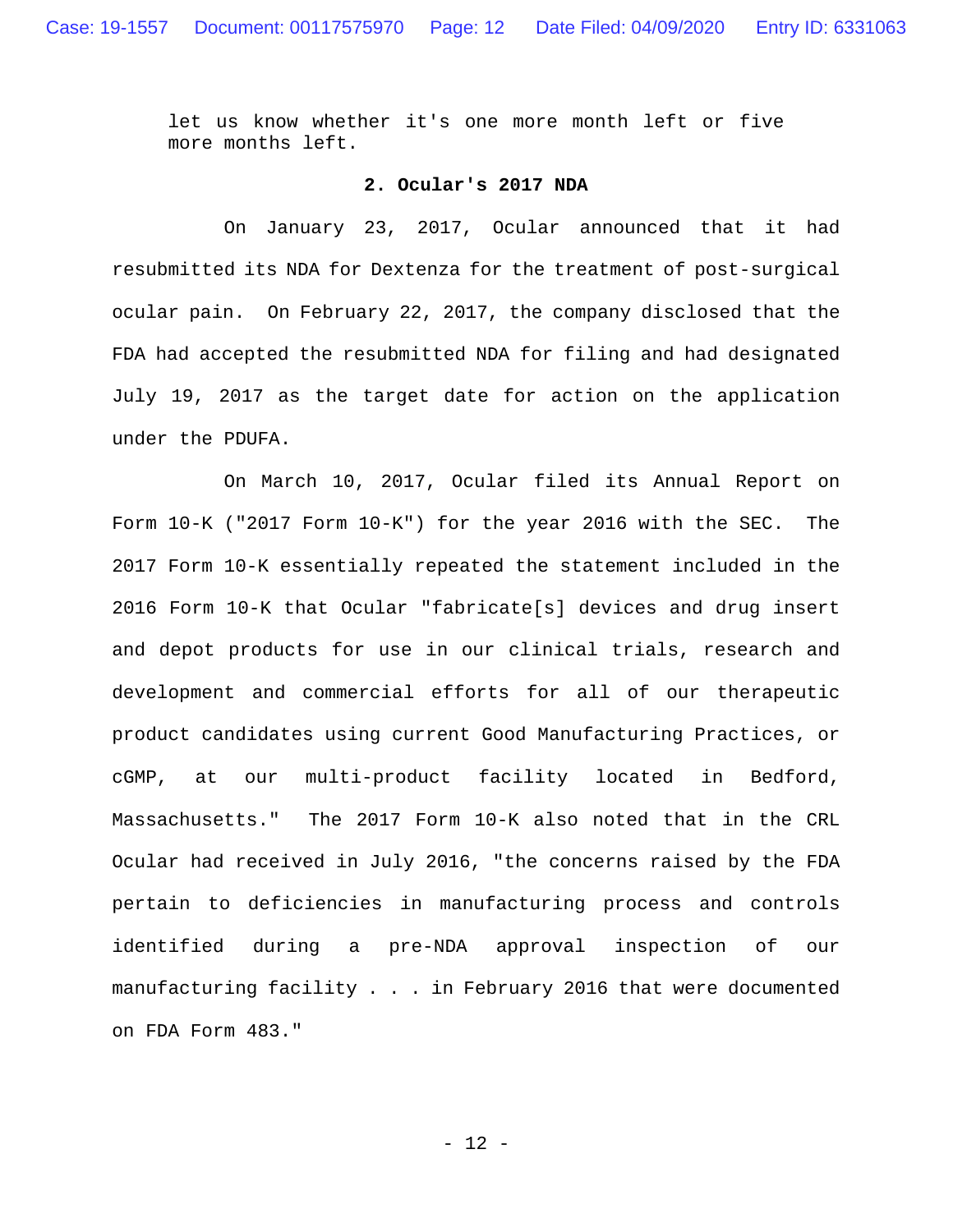let us know whether it's one more month left or five more months left.

#### **2. Ocular's 2017 NDA**

On January 23, 2017, Ocular announced that it had resubmitted its NDA for Dextenza for the treatment of post-surgical ocular pain. On February 22, 2017, the company disclosed that the FDA had accepted the resubmitted NDA for filing and had designated July 19, 2017 as the target date for action on the application under the PDUFA.

 On March 10, 2017, Ocular filed its Annual Report on Form 10-K ("2017 Form 10-K") for the year 2016 with the SEC. The 2017 Form 10-K essentially repeated the statement included in the 2016 Form 10-K that Ocular "fabricate[s] devices and drug insert and depot products for use in our clinical trials, research and development and commercial efforts for all of our therapeutic product candidates using current Good Manufacturing Practices, or cGMP, at our multi-product facility located in Bedford, Massachusetts." The 2017 Form 10-K also noted that in the CRL Ocular had received in July 2016, "the concerns raised by the FDA pertain to deficiencies in manufacturing process and controls identified during a pre-NDA approval inspection of our manufacturing facility . . . in February 2016 that were documented on FDA Form 483."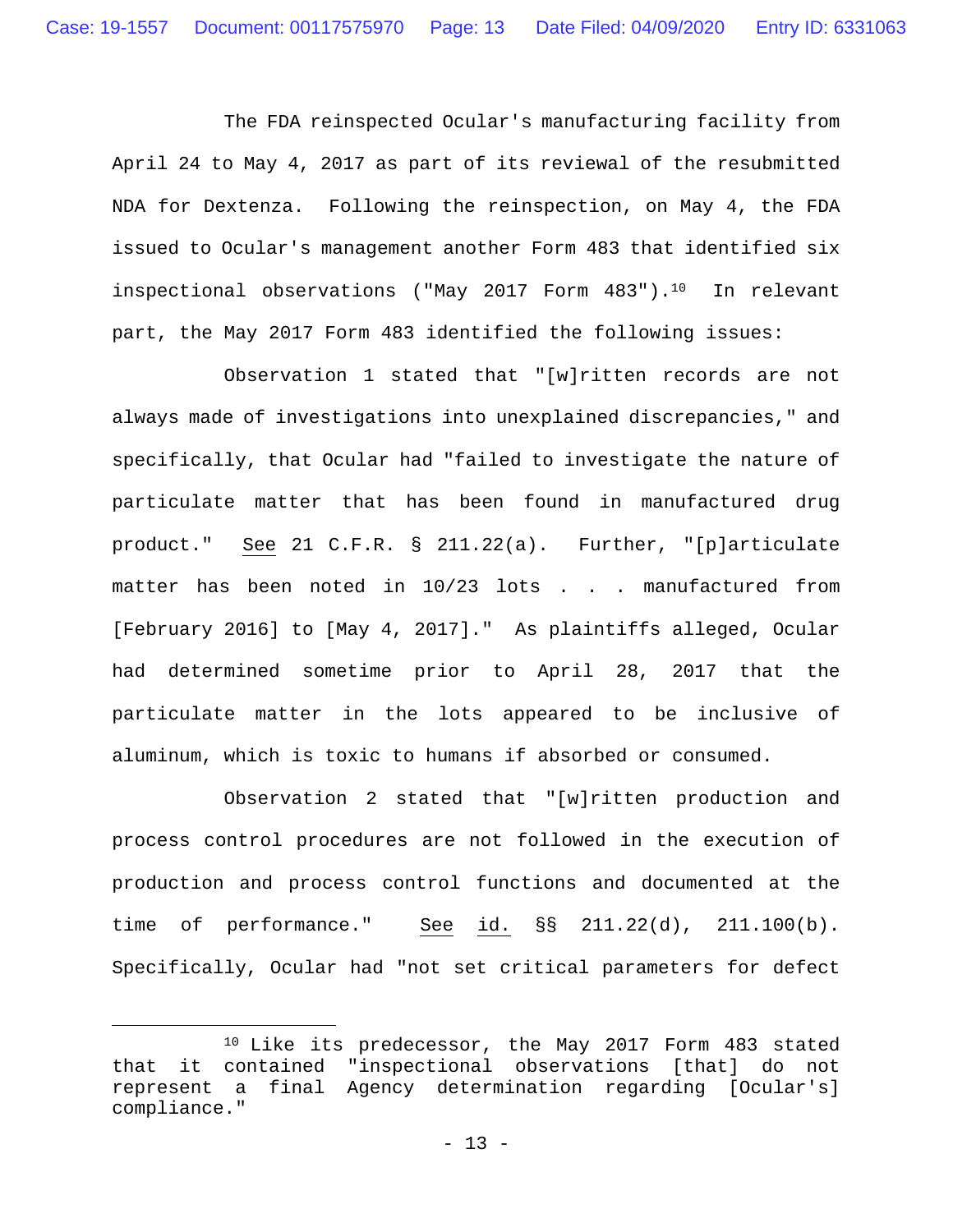The FDA reinspected Ocular's manufacturing facility from April 24 to May 4, 2017 as part of its reviewal of the resubmitted NDA for Dextenza. Following the reinspection, on May 4, the FDA issued to Ocular's management another Form 483 that identified six inspectional observations ("May 2017 Form 483").10 In relevant part, the May 2017 Form 483 identified the following issues:

 Observation 1 stated that "[w]ritten records are not always made of investigations into unexplained discrepancies," and specifically, that Ocular had "failed to investigate the nature of particulate matter that has been found in manufactured drug product." See 21 C.F.R. § 211.22(a). Further, "[p]articulate matter has been noted in 10/23 lots . . . manufactured from [February 2016] to [May 4, 2017]." As plaintiffs alleged, Ocular had determined sometime prior to April 28, 2017 that the particulate matter in the lots appeared to be inclusive of aluminum, which is toxic to humans if absorbed or consumed.

 Observation 2 stated that "[w]ritten production and process control procedures are not followed in the execution of production and process control functions and documented at the time of performance." See id. §§ 211.22(d), 211.100(b). Specifically, Ocular had "not set critical parameters for defect

 <sup>10</sup> Like its predecessor, the May 2017 Form 483 stated that it contained "inspectional observations [that] do not represent a final Agency determination regarding [Ocular's] compliance."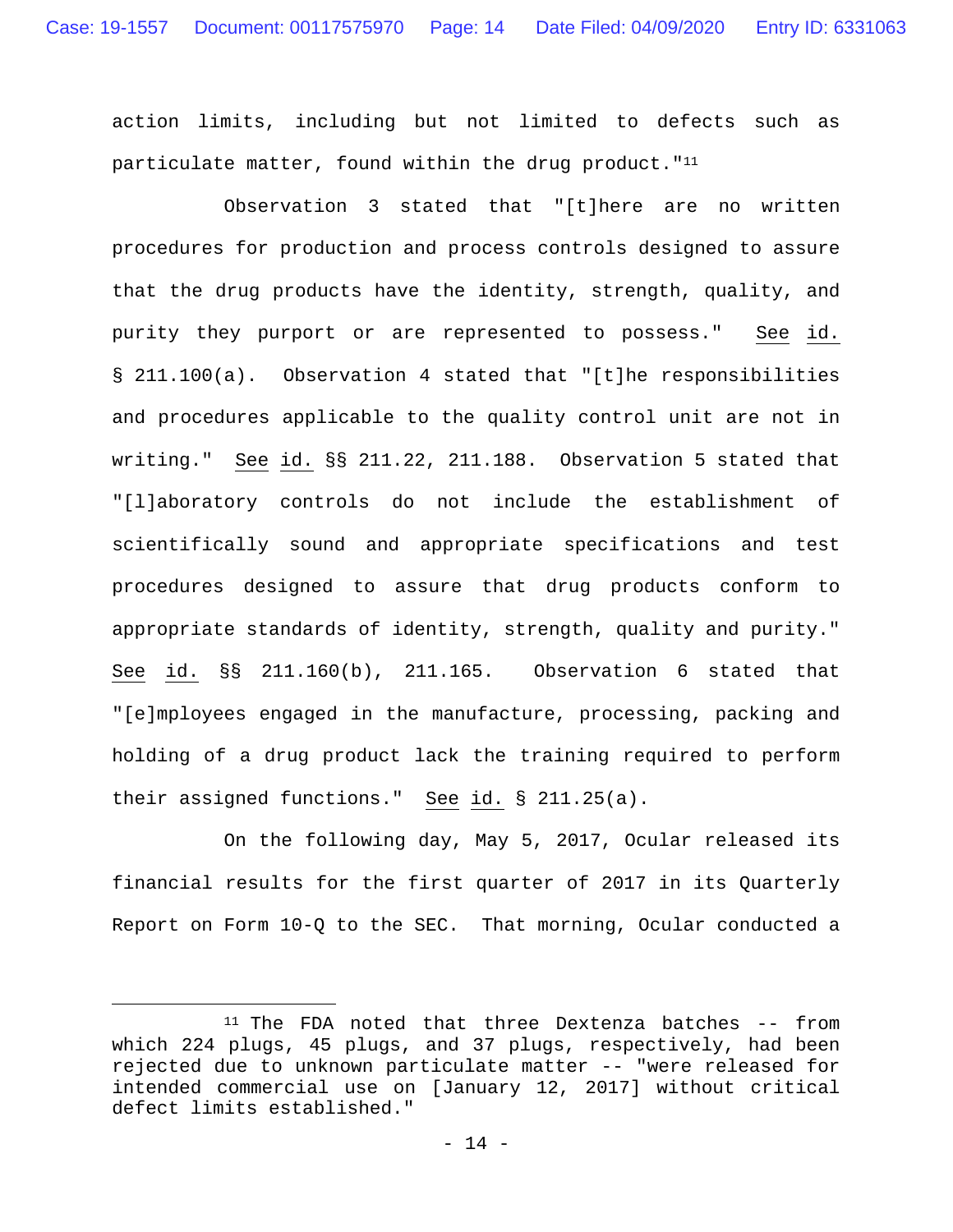action limits, including but not limited to defects such as particulate matter, found within the drug product. " $11$ 

 Observation 3 stated that "[t]here are no written procedures for production and process controls designed to assure that the drug products have the identity, strength, quality, and purity they purport or are represented to possess." See id. § 211.100(a). Observation 4 stated that "[t]he responsibilities and procedures applicable to the quality control unit are not in writing." See id. §§ 211.22, 211.188. Observation 5 stated that "[l]aboratory controls do not include the establishment of scientifically sound and appropriate specifications and test procedures designed to assure that drug products conform to appropriate standards of identity, strength, quality and purity." See id. §§ 211.160(b), 211.165. Observation 6 stated that "[e]mployees engaged in the manufacture, processing, packing and holding of a drug product lack the training required to perform their assigned functions." See id. § 211.25(a).

 On the following day, May 5, 2017, Ocular released its financial results for the first quarter of 2017 in its Quarterly Report on Form 10-Q to the SEC. That morning, Ocular conducted a

 <sup>11</sup> The FDA noted that three Dextenza batches -- from which 224 plugs, 45 plugs, and 37 plugs, respectively, had been rejected due to unknown particulate matter -- "were released for intended commercial use on [January 12, 2017] without critical defect limits established."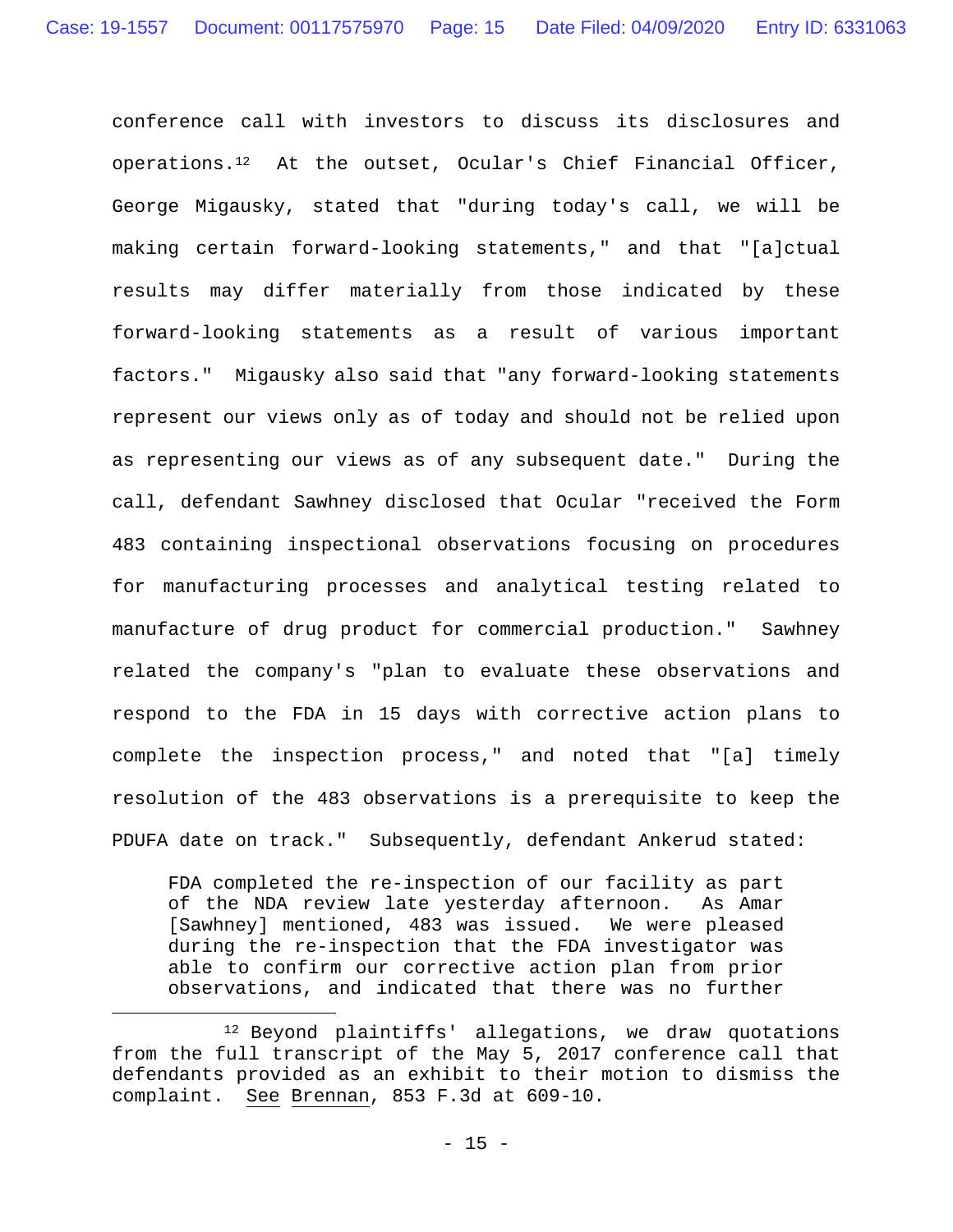conference call with investors to discuss its disclosures and operations.12 At the outset, Ocular's Chief Financial Officer, George Migausky, stated that "during today's call, we will be making certain forward-looking statements," and that "[a]ctual results may differ materially from those indicated by these forward-looking statements as a result of various important factors." Migausky also said that "any forward-looking statements represent our views only as of today and should not be relied upon as representing our views as of any subsequent date." During the call, defendant Sawhney disclosed that Ocular "received the Form 483 containing inspectional observations focusing on procedures for manufacturing processes and analytical testing related to manufacture of drug product for commercial production." Sawhney related the company's "plan to evaluate these observations and respond to the FDA in 15 days with corrective action plans to complete the inspection process," and noted that "[a] timely resolution of the 483 observations is a prerequisite to keep the PDUFA date on track." Subsequently, defendant Ankerud stated:

FDA completed the re-inspection of our facility as part of the NDA review late yesterday afternoon. As Amar [Sawhney] mentioned, 483 was issued. We were pleased during the re-inspection that the FDA investigator was able to confirm our corrective action plan from prior observations, and indicated that there was no further

<sup>&</sup>lt;sup>12</sup> Beyond plaintiffs' allegations, we draw quotations from the full transcript of the May 5, 2017 conference call that defendants provided as an exhibit to their motion to dismiss the complaint. See Brennan, 853 F.3d at 609-10.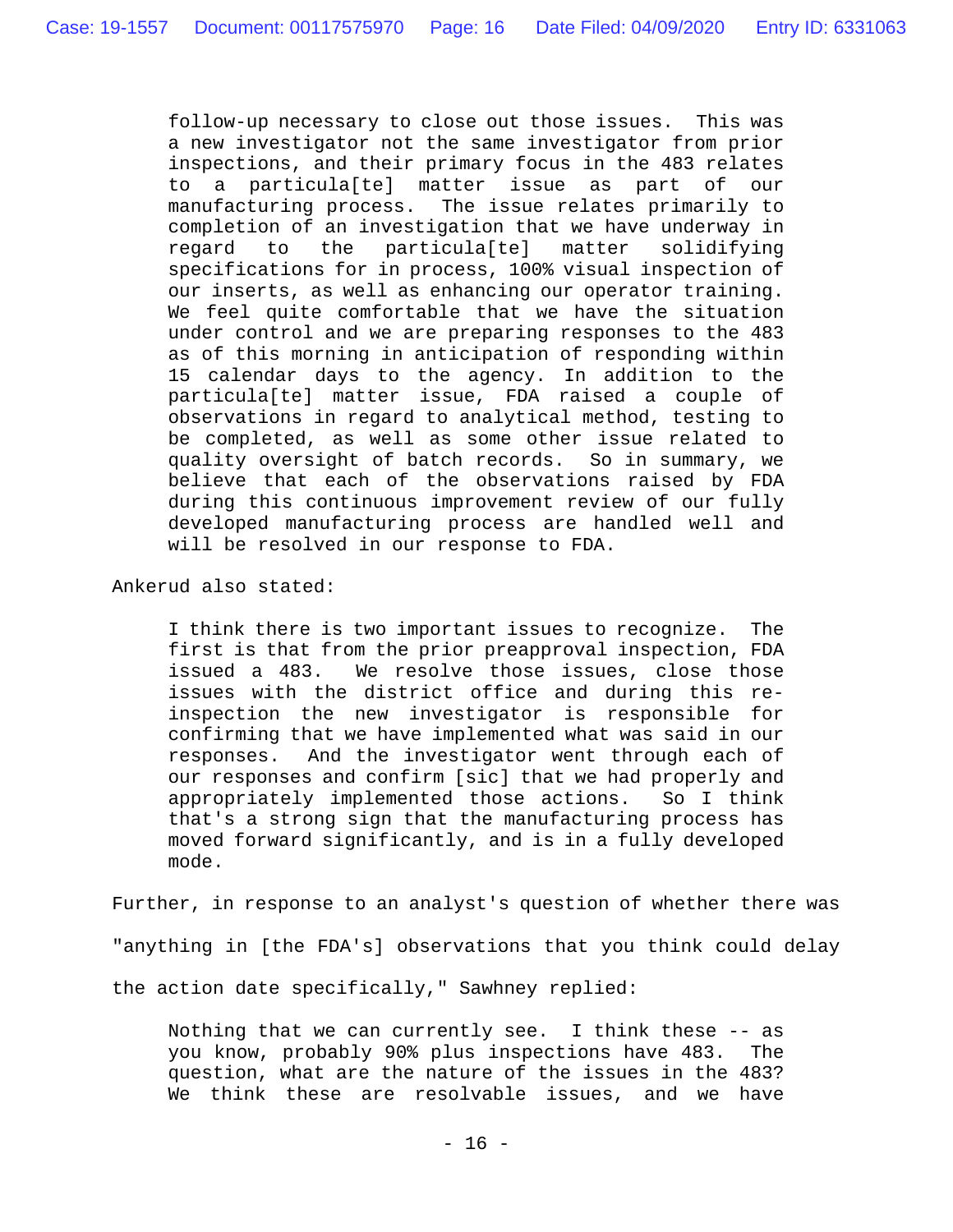follow-up necessary to close out those issues. This was a new investigator not the same investigator from prior inspections, and their primary focus in the 483 relates to a particula[te] matter issue as part of our manufacturing process. The issue relates primarily to completion of an investigation that we have underway in regard to the particula[te] matter solidifying specifications for in process, 100% visual inspection of our inserts, as well as enhancing our operator training. We feel quite comfortable that we have the situation under control and we are preparing responses to the 483 as of this morning in anticipation of responding within 15 calendar days to the agency. In addition to the particula[te] matter issue, FDA raised a couple of observations in regard to analytical method, testing to be completed, as well as some other issue related to quality oversight of batch records. So in summary, we believe that each of the observations raised by FDA during this continuous improvement review of our fully developed manufacturing process are handled well and will be resolved in our response to FDA.

Ankerud also stated:

I think there is two important issues to recognize. The first is that from the prior preapproval inspection, FDA issued a 483. We resolve those issues, close those issues with the district office and during this reinspection the new investigator is responsible for confirming that we have implemented what was said in our responses. And the investigator went through each of our responses and confirm [sic] that we had properly and appropriately implemented those actions. So I think that's a strong sign that the manufacturing process has moved forward significantly, and is in a fully developed mode.

Further, in response to an analyst's question of whether there was "anything in [the FDA's] observations that you think could delay the action date specifically," Sawhney replied:

Nothing that we can currently see. I think these -- as you know, probably 90% plus inspections have 483. The question, what are the nature of the issues in the 483? We think these are resolvable issues, and we have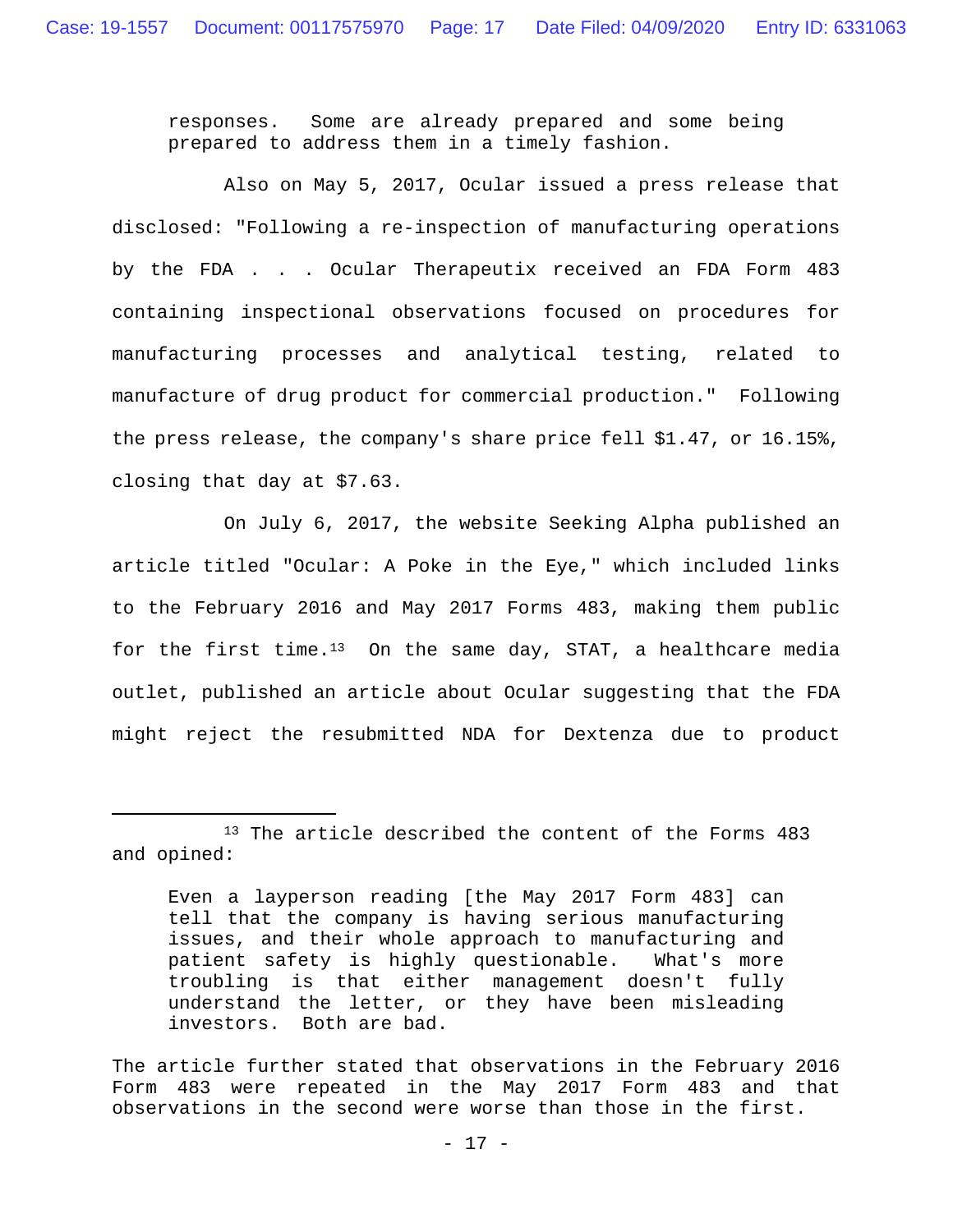responses. Some are already prepared and some being prepared to address them in a timely fashion.

 Also on May 5, 2017, Ocular issued a press release that disclosed: "Following a re-inspection of manufacturing operations by the FDA . . . Ocular Therapeutix received an FDA Form 483 containing inspectional observations focused on procedures for manufacturing processes and analytical testing, related to manufacture of drug product for commercial production." Following the press release, the company's share price fell \$1.47, or 16.15%, closing that day at \$7.63.

 On July 6, 2017, the website Seeking Alpha published an article titled "Ocular: A Poke in the Eye," which included links to the February 2016 and May 2017 Forms 483, making them public for the first time.<sup>13</sup> On the same day, STAT, a healthcare media outlet, published an article about Ocular suggesting that the FDA might reject the resubmitted NDA for Dextenza due to product

<sup>&</sup>lt;sup>13</sup> The article described the content of the Forms 483 and opined:

Even a layperson reading [the May 2017 Form 483] can tell that the company is having serious manufacturing issues, and their whole approach to manufacturing and patient safety is highly questionable. What's more troubling is that either management doesn't fully understand the letter, or they have been misleading investors. Both are bad.

The article further stated that observations in the February 2016 Form 483 were repeated in the May 2017 Form 483 and that observations in the second were worse than those in the first.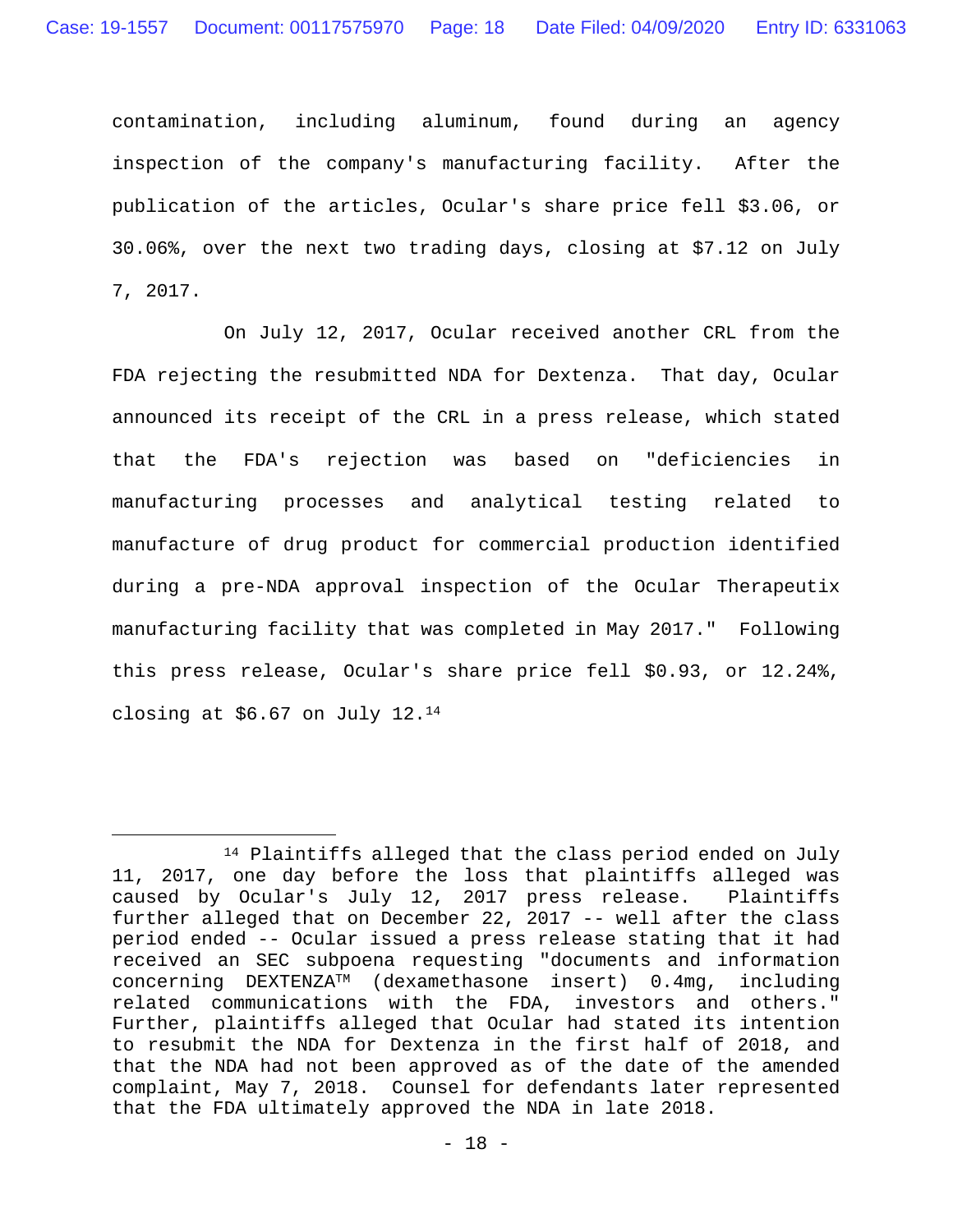contamination, including aluminum, found during an agency inspection of the company's manufacturing facility. After the publication of the articles, Ocular's share price fell \$3.06, or 30.06%, over the next two trading days, closing at \$7.12 on July 7, 2017.

 On July 12, 2017, Ocular received another CRL from the FDA rejecting the resubmitted NDA for Dextenza. That day, Ocular announced its receipt of the CRL in a press release, which stated that the FDA's rejection was based on "deficiencies in manufacturing processes and analytical testing related to manufacture of drug product for commercial production identified during a pre-NDA approval inspection of the Ocular Therapeutix manufacturing facility that was completed in May 2017." Following this press release, Ocular's share price fell \$0.93, or 12.24%, closing at \$6.67 on July 12.14

 <sup>14</sup> Plaintiffs alleged that the class period ended on July 11, 2017, one day before the loss that plaintiffs alleged was caused by Ocular's July 12, 2017 press release. Plaintiffs further alleged that on December 22, 2017 -- well after the class period ended -- Ocular issued a press release stating that it had received an SEC subpoena requesting "documents and information concerning DEXTENZATM (dexamethasone insert) 0.4mg, including related communications with the FDA, investors and others." Further, plaintiffs alleged that Ocular had stated its intention to resubmit the NDA for Dextenza in the first half of 2018, and that the NDA had not been approved as of the date of the amended complaint, May 7, 2018. Counsel for defendants later represented that the FDA ultimately approved the NDA in late 2018.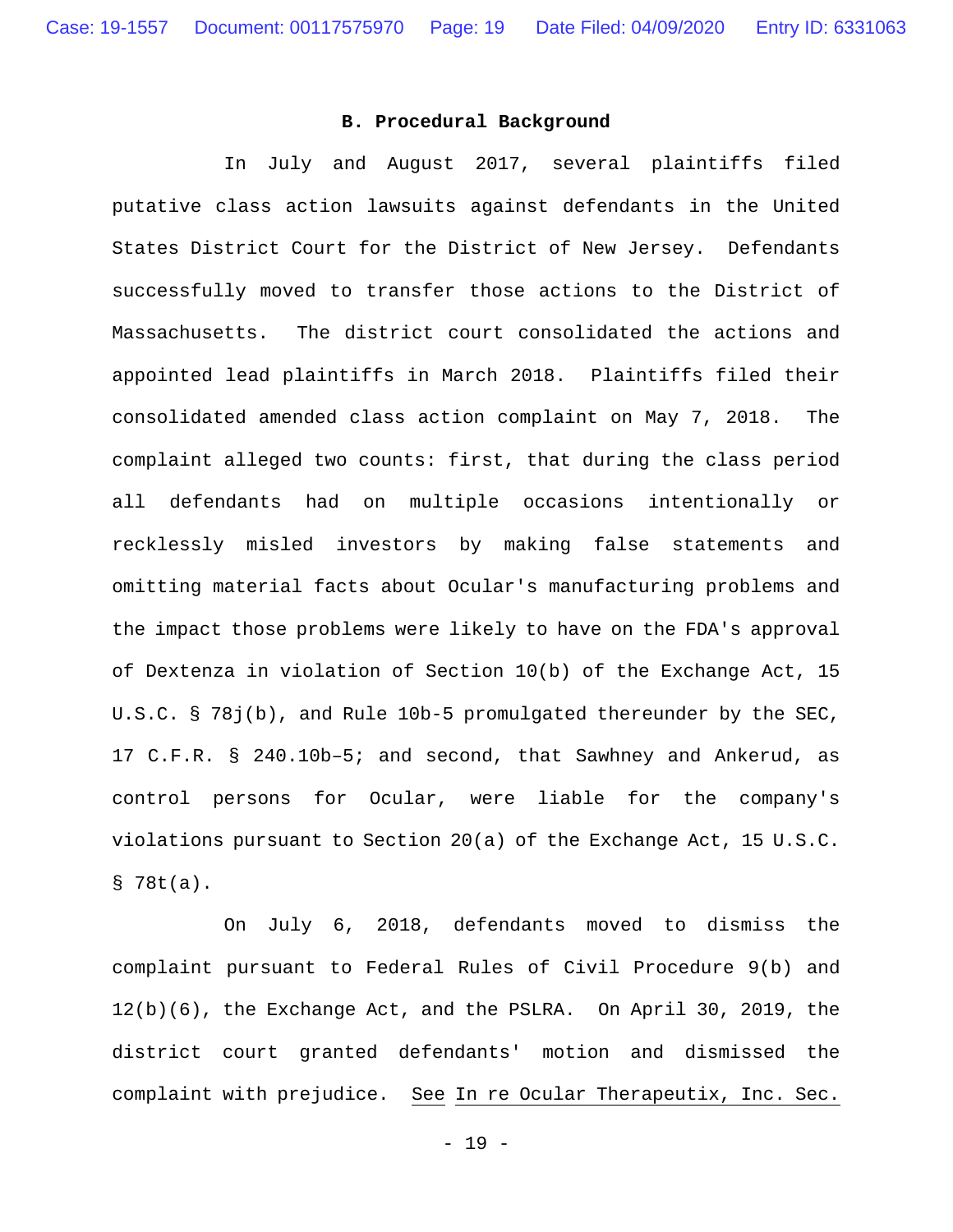#### **B. Procedural Background**

In July and August 2017, several plaintiffs filed putative class action lawsuits against defendants in the United States District Court for the District of New Jersey. Defendants successfully moved to transfer those actions to the District of Massachusetts. The district court consolidated the actions and appointed lead plaintiffs in March 2018. Plaintiffs filed their consolidated amended class action complaint on May 7, 2018. The complaint alleged two counts: first, that during the class period all defendants had on multiple occasions intentionally or recklessly misled investors by making false statements and omitting material facts about Ocular's manufacturing problems and the impact those problems were likely to have on the FDA's approval of Dextenza in violation of Section 10(b) of the Exchange Act, 15 U.S.C. § 78j(b), and Rule 10b-5 promulgated thereunder by the SEC, 17 C.F.R. § 240.10b–5; and second, that Sawhney and Ankerud, as control persons for Ocular, were liable for the company's violations pursuant to Section 20(a) of the Exchange Act, 15 U.S.C. § 78t(a).

 On July 6, 2018, defendants moved to dismiss the complaint pursuant to Federal Rules of Civil Procedure 9(b) and 12(b)(6), the Exchange Act, and the PSLRA. On April 30, 2019, the district court granted defendants' motion and dismissed the complaint with prejudice. See In re Ocular Therapeutix, Inc. Sec.

- 19 -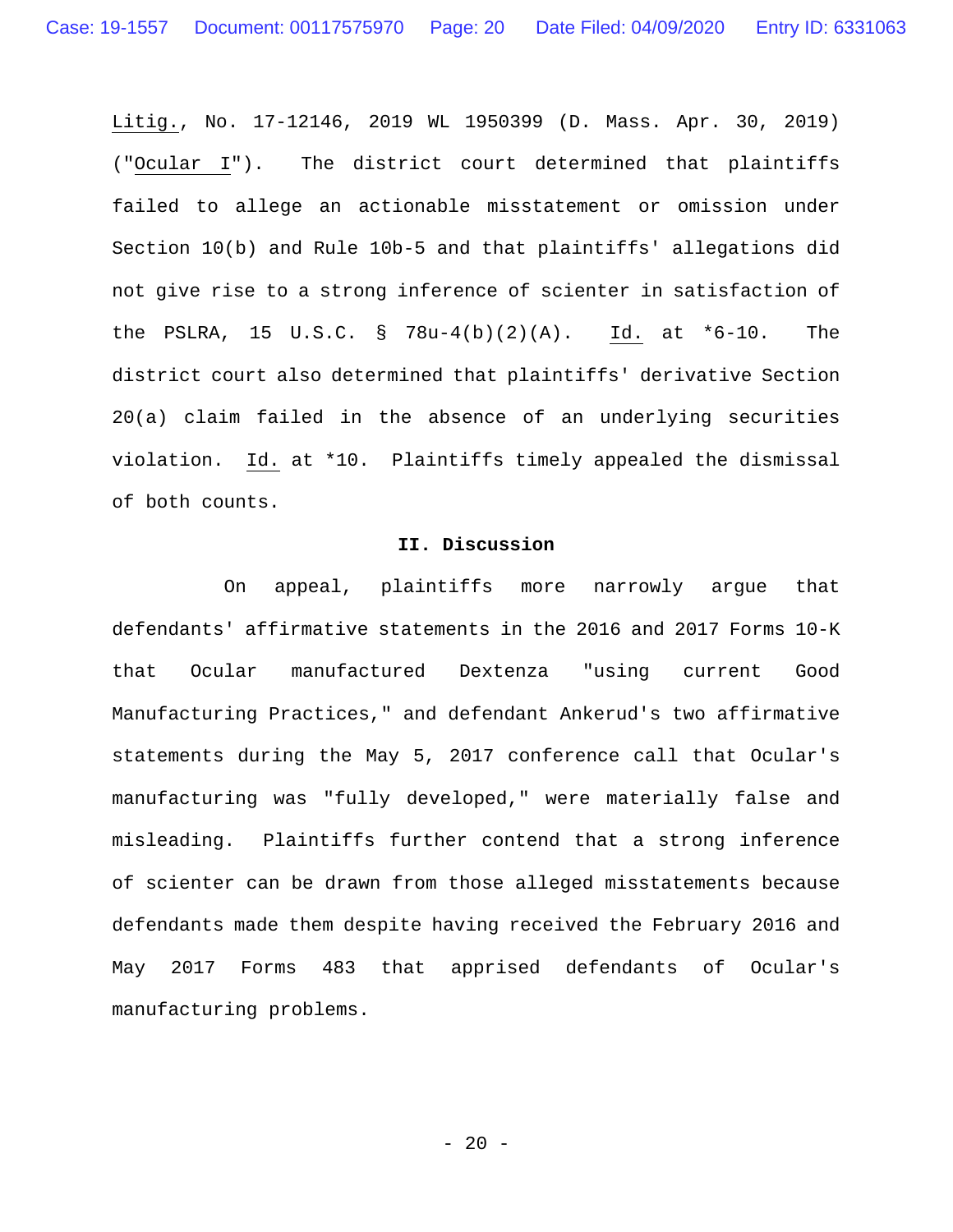Litig., No. 17-12146, 2019 WL 1950399 (D. Mass. Apr. 30, 2019) ("Ocular I"). The district court determined that plaintiffs failed to allege an actionable misstatement or omission under Section 10(b) and Rule 10b-5 and that plaintiffs' allegations did not give rise to a strong inference of scienter in satisfaction of the PSLRA, 15 U.S.C. § 78u-4(b)(2)(A). Id. at \*6-10. The district court also determined that plaintiffs' derivative Section 20(a) claim failed in the absence of an underlying securities violation. Id. at \*10. Plaintiffs timely appealed the dismissal of both counts.

#### **II. Discussion**

On appeal, plaintiffs more narrowly argue that defendants' affirmative statements in the 2016 and 2017 Forms 10-K that Ocular manufactured Dextenza "using current Good Manufacturing Practices," and defendant Ankerud's two affirmative statements during the May 5, 2017 conference call that Ocular's manufacturing was "fully developed," were materially false and misleading. Plaintiffs further contend that a strong inference of scienter can be drawn from those alleged misstatements because defendants made them despite having received the February 2016 and May 2017 Forms 483 that apprised defendants of Ocular's manufacturing problems.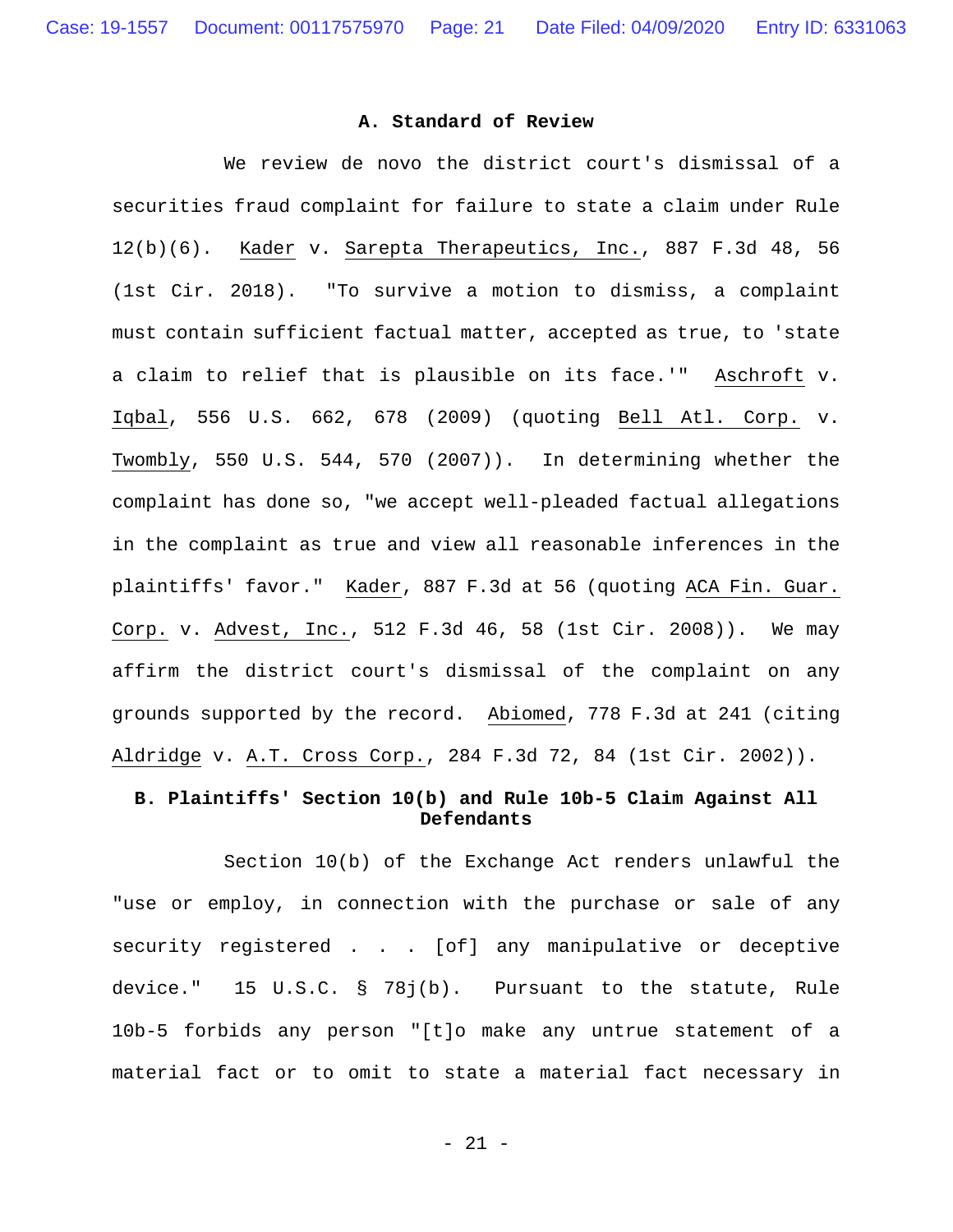### **A. Standard of Review**

 We review de novo the district court's dismissal of a securities fraud complaint for failure to state a claim under Rule 12(b)(6). Kader v. Sarepta Therapeutics, Inc., 887 F.3d 48, 56 (1st Cir. 2018). "To survive a motion to dismiss, a complaint must contain sufficient factual matter, accepted as true, to 'state a claim to relief that is plausible on its face.'" Aschroft v. Iqbal, 556 U.S. 662, 678 (2009) (quoting Bell Atl. Corp. v. Twombly, 550 U.S. 544, 570 (2007)). In determining whether the complaint has done so, "we accept well-pleaded factual allegations in the complaint as true and view all reasonable inferences in the plaintiffs' favor." Kader, 887 F.3d at 56 (quoting ACA Fin. Guar. Corp. v. Advest, Inc., 512 F.3d 46, 58 (1st Cir. 2008)). We may affirm the district court's dismissal of the complaint on any grounds supported by the record. Abiomed, 778 F.3d at 241 (citing Aldridge v. A.T. Cross Corp., 284 F.3d 72, 84 (1st Cir. 2002)).

## **B. Plaintiffs' Section 10(b) and Rule 10b-5 Claim Against All Defendants**

Section 10(b) of the Exchange Act renders unlawful the "use or employ, in connection with the purchase or sale of any security registered . . . [of] any manipulative or deceptive device." 15 U.S.C. § 78j(b). Pursuant to the statute, Rule 10b-5 forbids any person "[t]o make any untrue statement of a material fact or to omit to state a material fact necessary in

- 21 -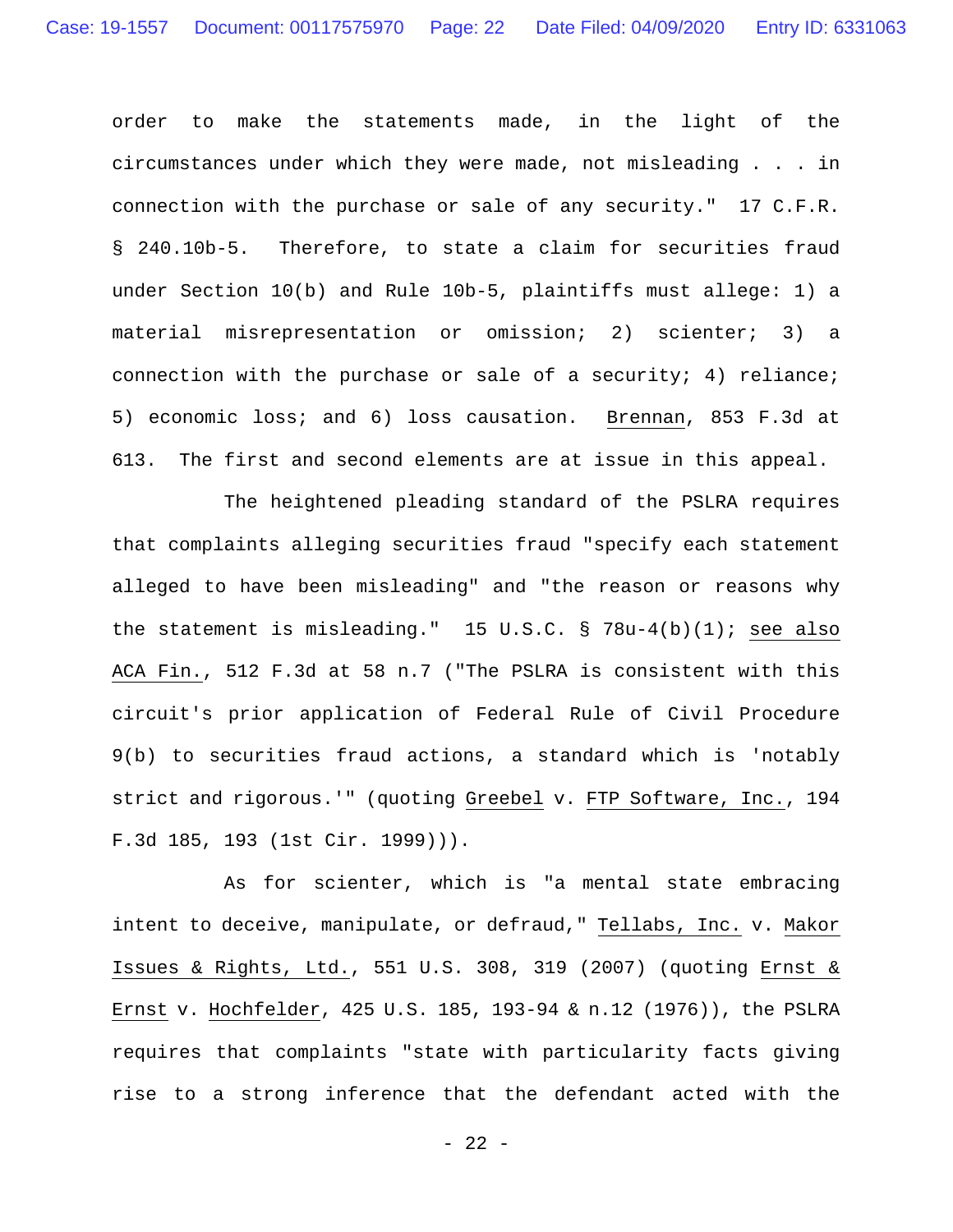order to make the statements made, in the light of the circumstances under which they were made, not misleading . . . in connection with the purchase or sale of any security." 17 C.F.R. § 240.10b-5. Therefore, to state a claim for securities fraud under Section 10(b) and Rule 10b-5, plaintiffs must allege: 1) a material misrepresentation or omission; 2) scienter; 3) a connection with the purchase or sale of a security; 4) reliance; 5) economic loss; and 6) loss causation. Brennan, 853 F.3d at 613. The first and second elements are at issue in this appeal.

The heightened pleading standard of the PSLRA requires that complaints alleging securities fraud "specify each statement alleged to have been misleading" and "the reason or reasons why the statement is misleading." 15 U.S.C. § 78u-4(b)(1); see also ACA Fin., 512 F.3d at 58 n.7 ("The PSLRA is consistent with this circuit's prior application of Federal Rule of Civil Procedure 9(b) to securities fraud actions, a standard which is 'notably strict and rigorous.'" (quoting Greebel v. FTP Software, Inc., 194 F.3d 185, 193 (1st Cir. 1999))).

 As for scienter, which is "a mental state embracing intent to deceive, manipulate, or defraud," Tellabs, Inc. v. Makor Issues & Rights, Ltd., 551 U.S. 308, 319 (2007) (quoting Ernst & Ernst v. Hochfelder, 425 U.S. 185, 193-94 & n.12 (1976)), the PSLRA requires that complaints "state with particularity facts giving rise to a strong inference that the defendant acted with the

- 22 -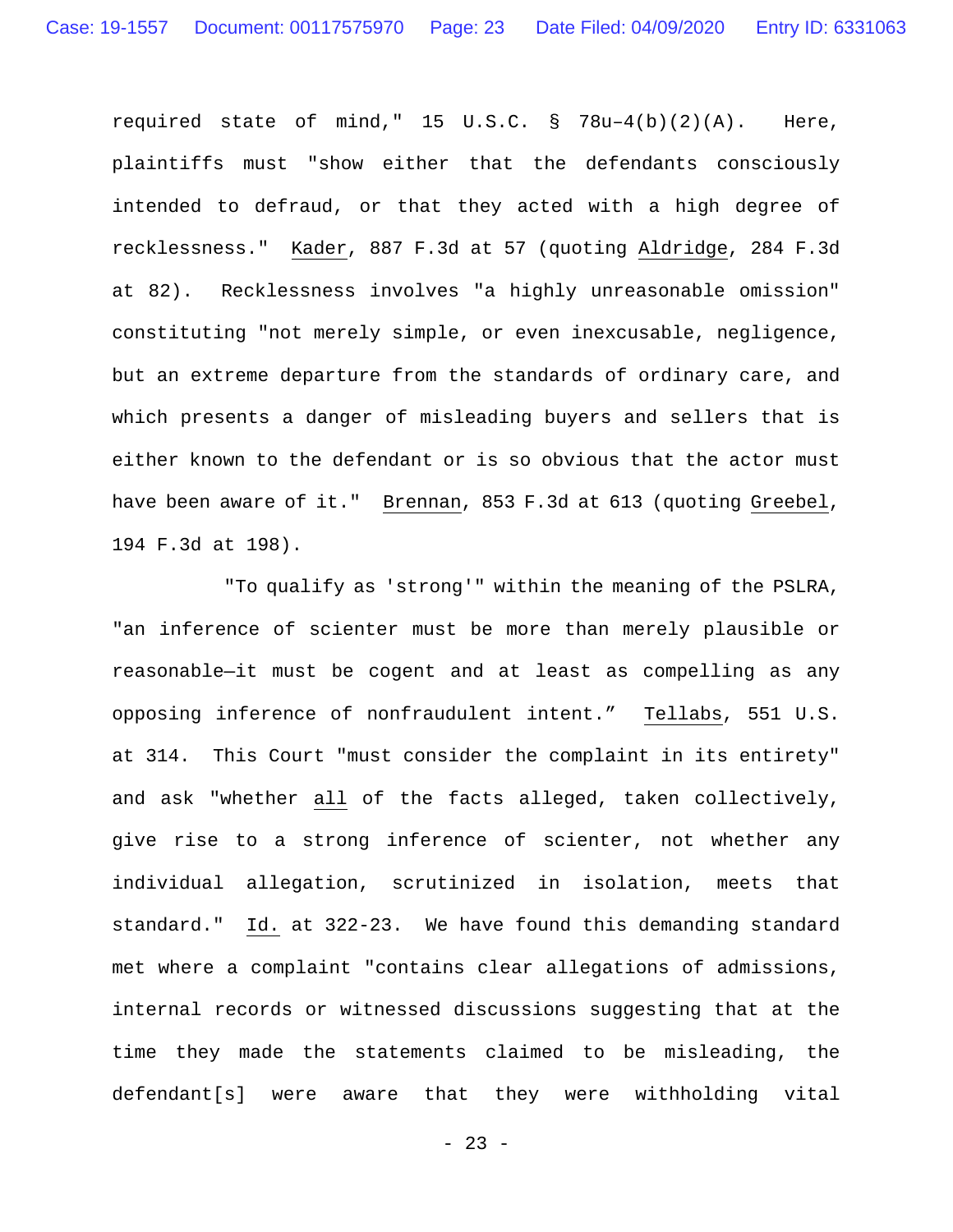required state of mind," 15 U.S.C. § 78u–4(b)(2)(A). Here, plaintiffs must "show either that the defendants consciously intended to defraud, or that they acted with a high degree of recklessness." Kader, 887 F.3d at 57 (quoting Aldridge, 284 F.3d at 82). Recklessness involves "a highly unreasonable omission" constituting "not merely simple, or even inexcusable, negligence, but an extreme departure from the standards of ordinary care, and which presents a danger of misleading buyers and sellers that is either known to the defendant or is so obvious that the actor must have been aware of it." Brennan, 853 F.3d at 613 (quoting Greebel, 194 F.3d at 198).

"To qualify as 'strong'" within the meaning of the PSLRA, "an inference of scienter must be more than merely plausible or reasonable—it must be cogent and at least as compelling as any opposing inference of nonfraudulent intent." Tellabs, 551 U.S. at 314. This Court "must consider the complaint in its entirety" and ask "whether all of the facts alleged, taken collectively, give rise to a strong inference of scienter, not whether any individual allegation, scrutinized in isolation, meets that standard." Id. at 322-23. We have found this demanding standard met where a complaint "contains clear allegations of admissions, internal records or witnessed discussions suggesting that at the time they made the statements claimed to be misleading, the defendant[s] were aware that they were withholding vital

- 23 -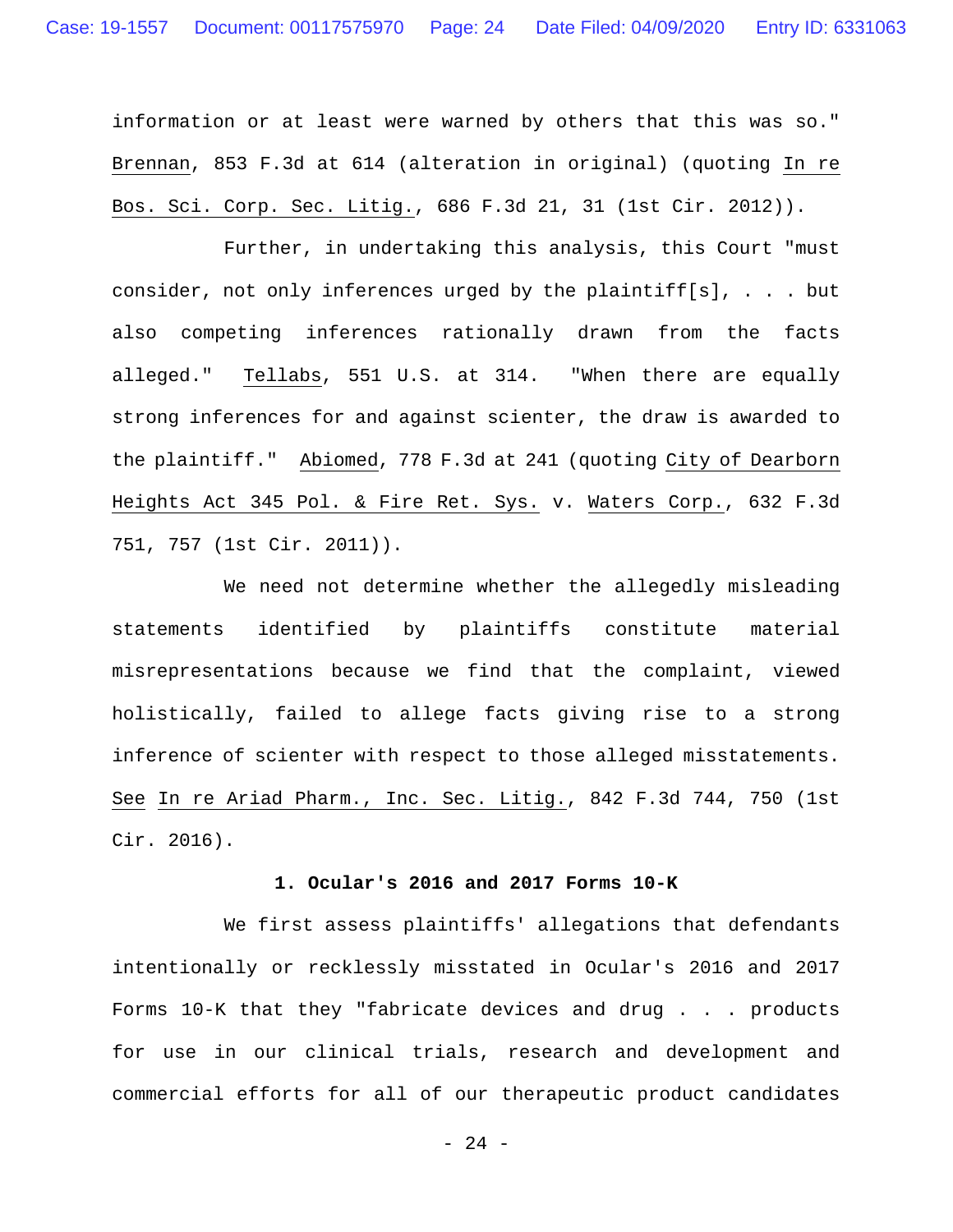information or at least were warned by others that this was so." Brennan, 853 F.3d at 614 (alteration in original) (quoting In re Bos. Sci. Corp. Sec. Litig., 686 F.3d 21, 31 (1st Cir. 2012)).

Further, in undertaking this analysis, this Court "must consider, not only inferences urged by the plaintiff[s], . . . but also competing inferences rationally drawn from the facts alleged." Tellabs, 551 U.S. at 314. "When there are equally strong inferences for and against scienter, the draw is awarded to the plaintiff." Abiomed, 778 F.3d at 241 (quoting City of Dearborn Heights Act 345 Pol. & Fire Ret. Sys. v. Waters Corp., 632 F.3d 751, 757 (1st Cir. 2011)).

We need not determine whether the allegedly misleading statements identified by plaintiffs constitute material misrepresentations because we find that the complaint, viewed holistically, failed to allege facts giving rise to a strong inference of scienter with respect to those alleged misstatements. See In re Ariad Pharm., Inc. Sec. Litig., 842 F.3d 744, 750 (1st Cir. 2016).

#### **1. Ocular's 2016 and 2017 Forms 10-K**

We first assess plaintiffs' allegations that defendants intentionally or recklessly misstated in Ocular's 2016 and 2017 Forms 10-K that they "fabricate devices and drug . . . products for use in our clinical trials, research and development and commercial efforts for all of our therapeutic product candidates

- 24 -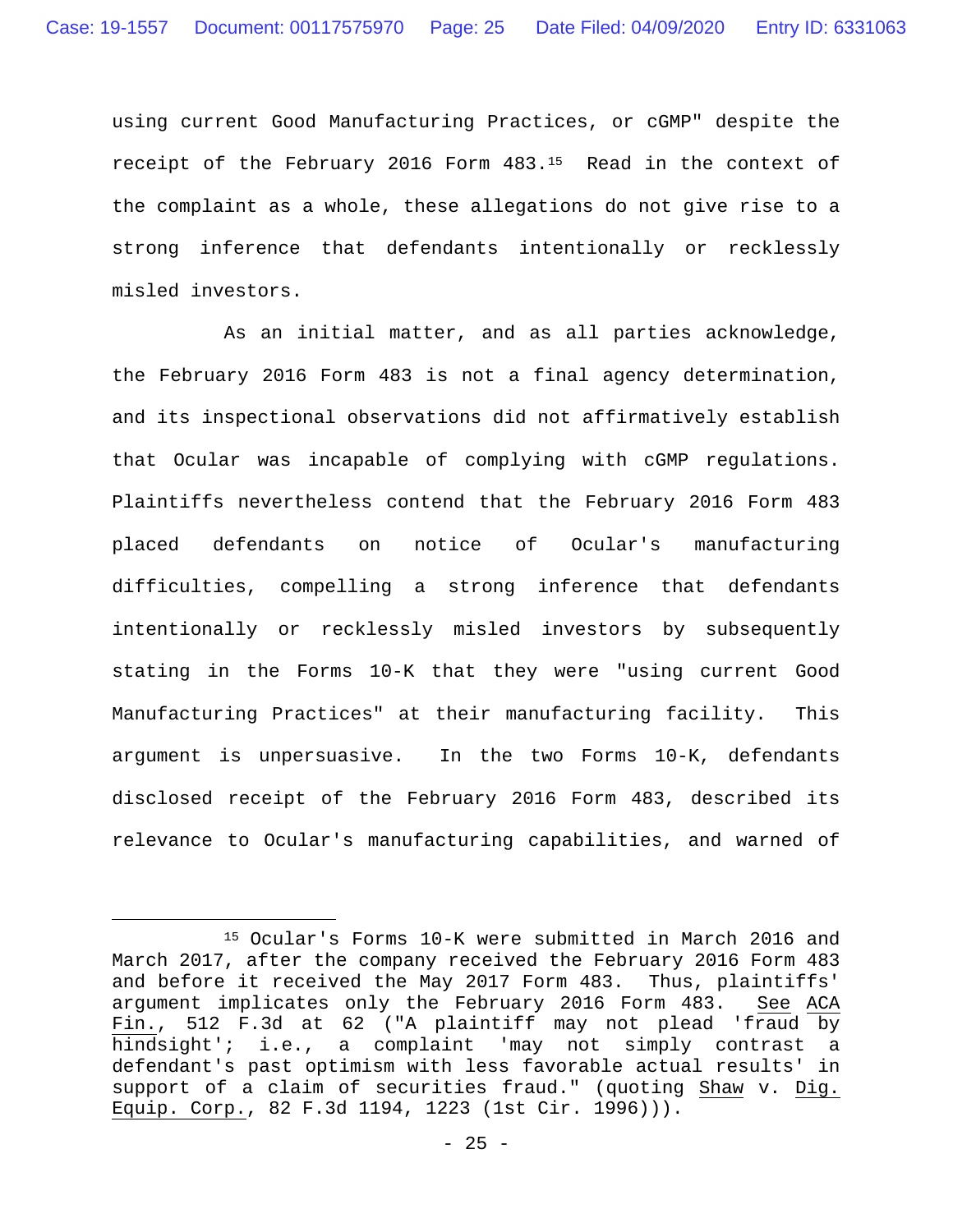using current Good Manufacturing Practices, or cGMP" despite the receipt of the February 2016 Form 483.15 Read in the context of the complaint as a whole, these allegations do not give rise to a strong inference that defendants intentionally or recklessly misled investors.

As an initial matter, and as all parties acknowledge, the February 2016 Form 483 is not a final agency determination, and its inspectional observations did not affirmatively establish that Ocular was incapable of complying with cGMP regulations. Plaintiffs nevertheless contend that the February 2016 Form 483 placed defendants on notice of Ocular's manufacturing difficulties, compelling a strong inference that defendants intentionally or recklessly misled investors by subsequently stating in the Forms 10-K that they were "using current Good Manufacturing Practices" at their manufacturing facility. This argument is unpersuasive. In the two Forms 10-K, defendants disclosed receipt of the February 2016 Form 483, described its relevance to Ocular's manufacturing capabilities, and warned of

 <sup>15</sup> Ocular's Forms 10-K were submitted in March 2016 and March 2017, after the company received the February 2016 Form 483 and before it received the May 2017 Form 483. Thus, plaintiffs' argument implicates only the February 2016 Form 483. See ACA Fin., 512 F.3d at 62 ("A plaintiff may not plead 'fraud by hindsight'; i.e., a complaint 'may not simply contrast a defendant's past optimism with less favorable actual results' in support of a claim of securities fraud." (quoting Shaw v. Dig. Equip. Corp., 82 F.3d 1194, 1223 (1st Cir. 1996))).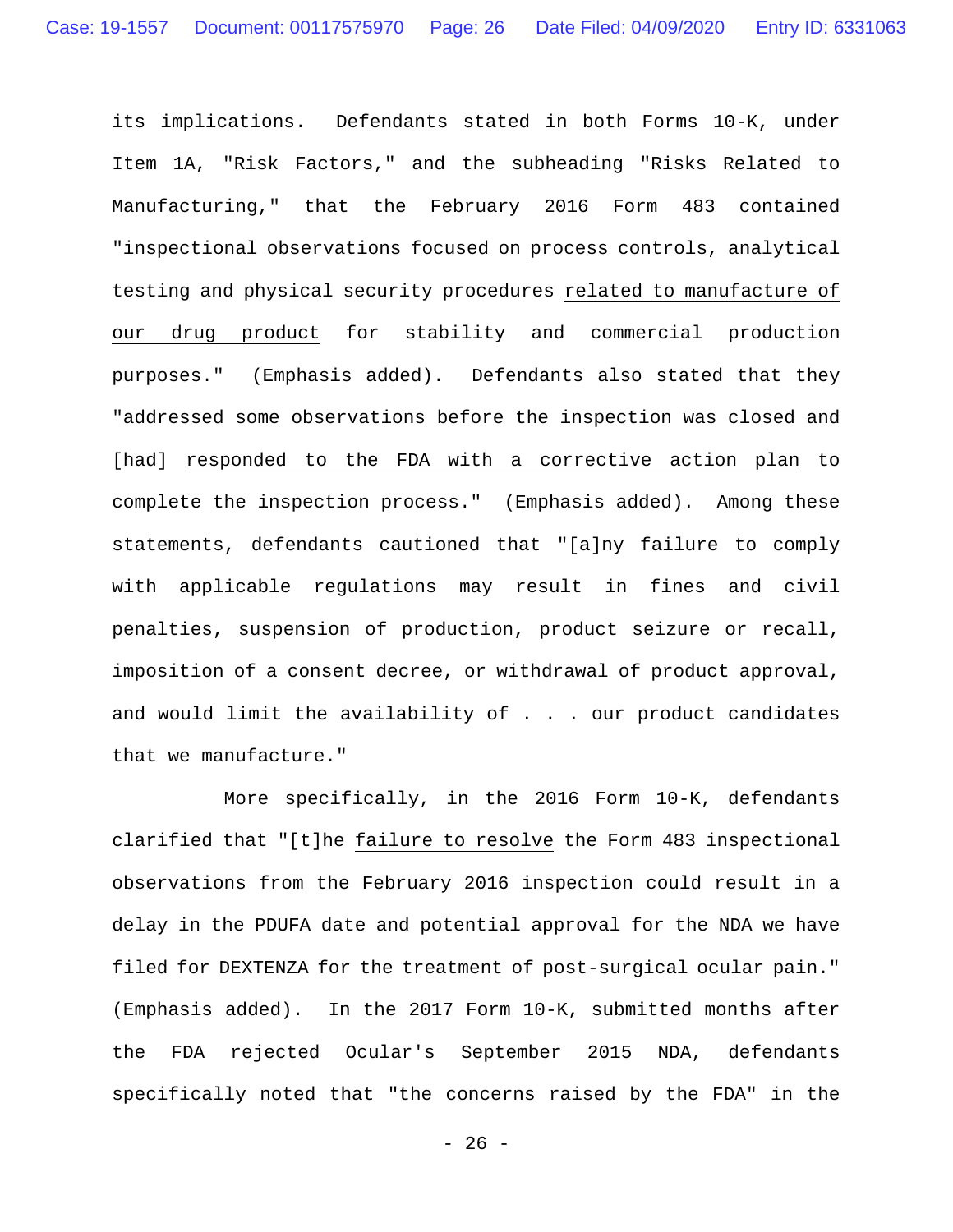its implications. Defendants stated in both Forms 10-K, under Item 1A, "Risk Factors," and the subheading "Risks Related to Manufacturing," that the February 2016 Form 483 contained "inspectional observations focused on process controls, analytical testing and physical security procedures related to manufacture of our drug product for stability and commercial production purposes." (Emphasis added). Defendants also stated that they "addressed some observations before the inspection was closed and [had] responded to the FDA with a corrective action plan to complete the inspection process." (Emphasis added). Among these statements, defendants cautioned that "[a]ny failure to comply with applicable regulations may result in fines and civil penalties, suspension of production, product seizure or recall, imposition of a consent decree, or withdrawal of product approval, and would limit the availability of . . . our product candidates that we manufacture."

More specifically, in the 2016 Form 10-K, defendants clarified that "[t]he failure to resolve the Form 483 inspectional observations from the February 2016 inspection could result in a delay in the PDUFA date and potential approval for the NDA we have filed for DEXTENZA for the treatment of post-surgical ocular pain." (Emphasis added). In the 2017 Form 10-K, submitted months after the FDA rejected Ocular's September 2015 NDA, defendants specifically noted that "the concerns raised by the FDA" in the

- 26 -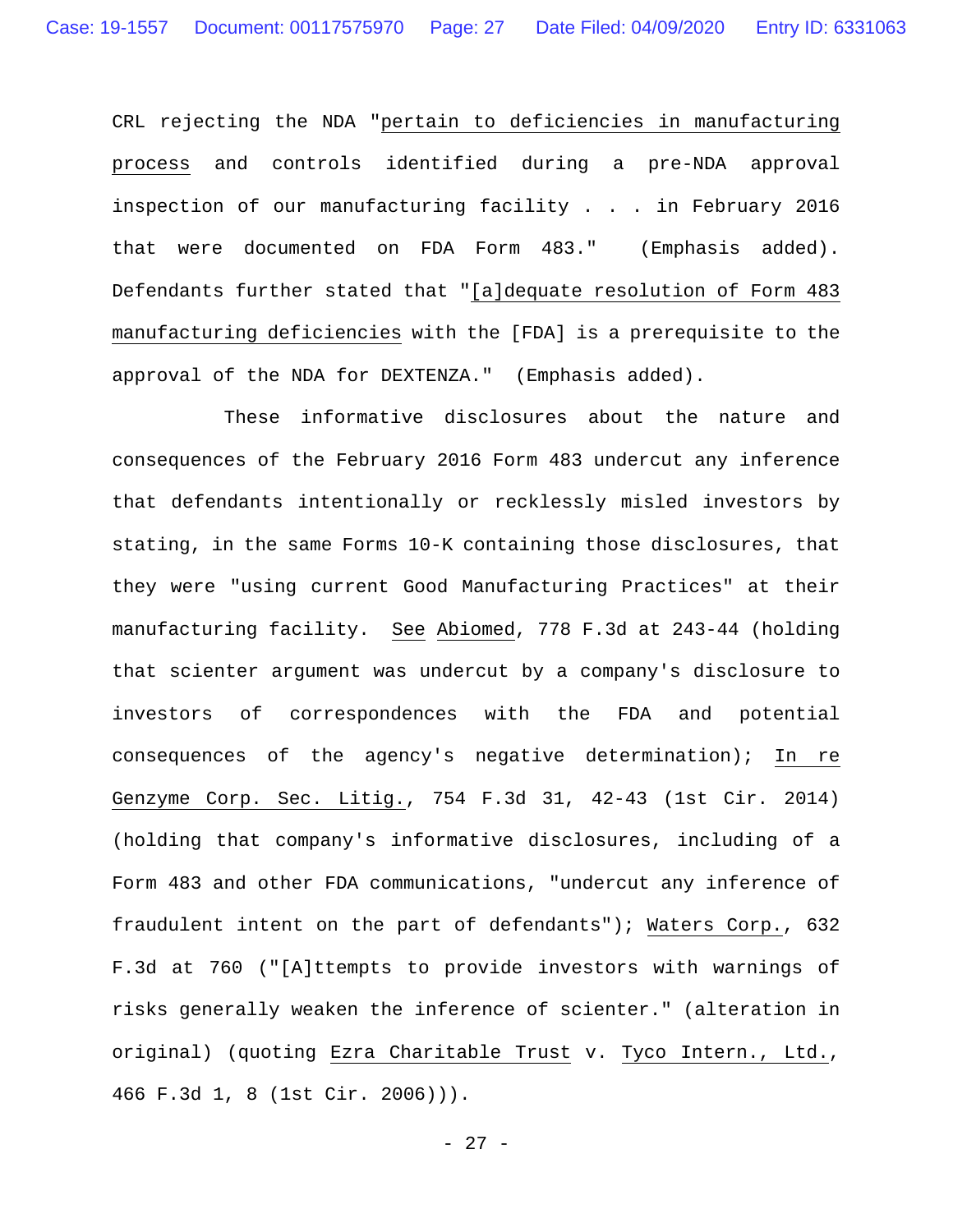CRL rejecting the NDA "pertain to deficiencies in manufacturing process and controls identified during a pre-NDA approval inspection of our manufacturing facility . . . in February 2016 that were documented on FDA Form 483." (Emphasis added). Defendants further stated that "[a]dequate resolution of Form 483 manufacturing deficiencies with the [FDA] is a prerequisite to the approval of the NDA for DEXTENZA." (Emphasis added).

These informative disclosures about the nature and consequences of the February 2016 Form 483 undercut any inference that defendants intentionally or recklessly misled investors by stating, in the same Forms 10-K containing those disclosures, that they were "using current Good Manufacturing Practices" at their manufacturing facility. See Abiomed, 778 F.3d at 243-44 (holding that scienter argument was undercut by a company's disclosure to investors of correspondences with the FDA and potential consequences of the agency's negative determination); In re Genzyme Corp. Sec. Litig., 754 F.3d 31, 42-43 (1st Cir. 2014) (holding that company's informative disclosures, including of a Form 483 and other FDA communications, "undercut any inference of fraudulent intent on the part of defendants"); Waters Corp., 632 F.3d at 760 ("[A]ttempts to provide investors with warnings of risks generally weaken the inference of scienter." (alteration in original) (quoting Ezra Charitable Trust v. Tyco Intern., Ltd., 466 F.3d 1, 8 (1st Cir. 2006))).

- 27 -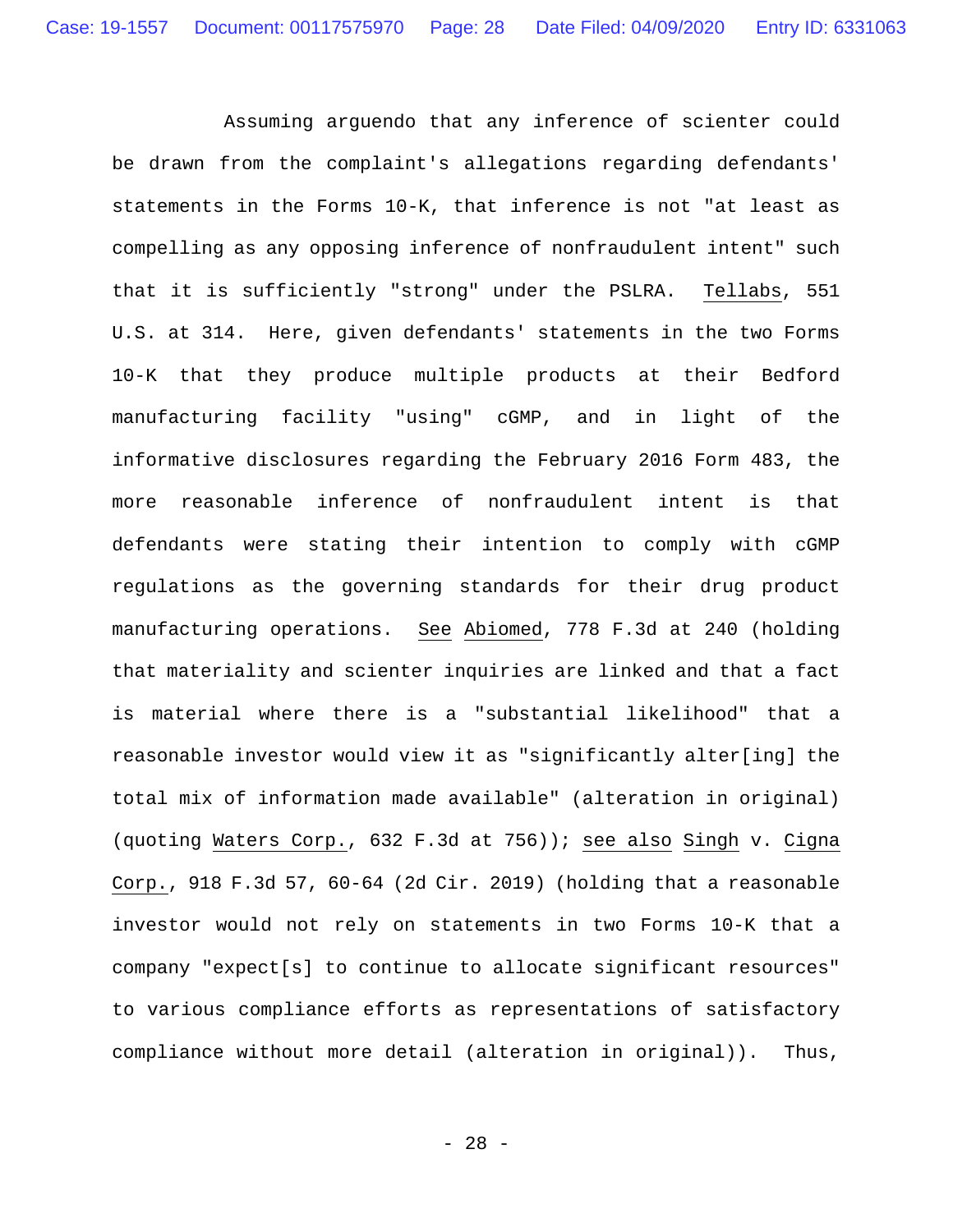Assuming arguendo that any inference of scienter could be drawn from the complaint's allegations regarding defendants' statements in the Forms 10-K, that inference is not "at least as compelling as any opposing inference of nonfraudulent intent" such that it is sufficiently "strong" under the PSLRA. Tellabs, 551 U.S. at 314. Here, given defendants' statements in the two Forms 10-K that they produce multiple products at their Bedford manufacturing facility "using" cGMP, and in light of the informative disclosures regarding the February 2016 Form 483, the more reasonable inference of nonfraudulent intent is that defendants were stating their intention to comply with cGMP regulations as the governing standards for their drug product manufacturing operations. See Abiomed, 778 F.3d at 240 (holding that materiality and scienter inquiries are linked and that a fact is material where there is a "substantial likelihood" that a reasonable investor would view it as "significantly alter[ing] the total mix of information made available" (alteration in original) (quoting Waters Corp., 632 F.3d at 756)); see also Singh v. Cigna Corp., 918 F.3d 57, 60-64 (2d Cir. 2019) (holding that a reasonable investor would not rely on statements in two Forms 10-K that a company "expect[s] to continue to allocate significant resources" to various compliance efforts as representations of satisfactory compliance without more detail (alteration in original)). Thus,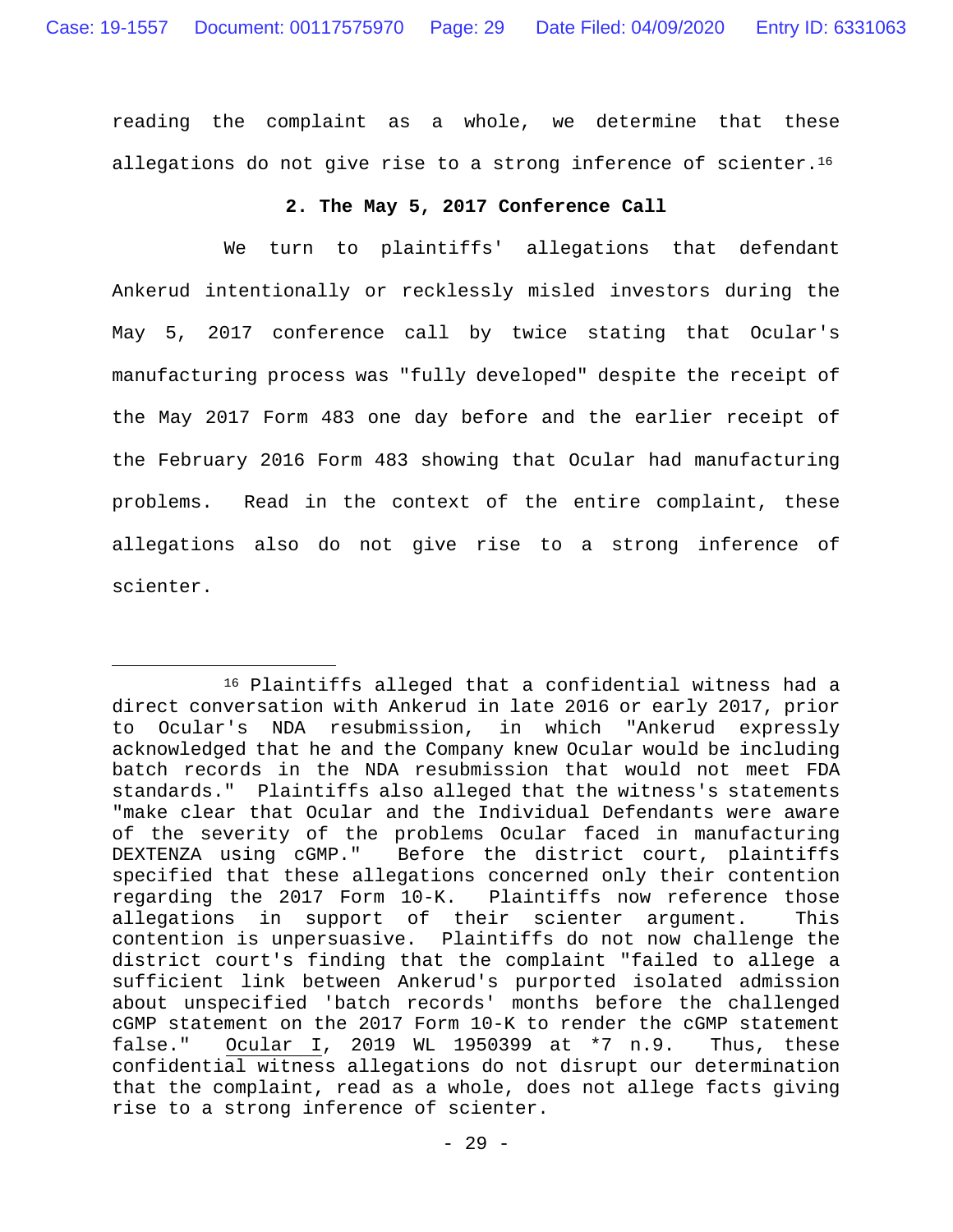reading the complaint as a whole, we determine that these allegations do not give rise to a strong inference of scienter.<sup>16</sup>

### **2. The May 5, 2017 Conference Call**

 We turn to plaintiffs' allegations that defendant Ankerud intentionally or recklessly misled investors during the May 5, 2017 conference call by twice stating that Ocular's manufacturing process was "fully developed" despite the receipt of the May 2017 Form 483 one day before and the earlier receipt of the February 2016 Form 483 showing that Ocular had manufacturing problems. Read in the context of the entire complaint, these allegations also do not give rise to a strong inference of scienter.

 <sup>16</sup> Plaintiffs alleged that a confidential witness had a direct conversation with Ankerud in late 2016 or early 2017, prior to Ocular's NDA resubmission, in which "Ankerud expressly acknowledged that he and the Company knew Ocular would be including batch records in the NDA resubmission that would not meet FDA standards." Plaintiffs also alleged that the witness's statements "make clear that Ocular and the Individual Defendants were aware of the severity of the problems Ocular faced in manufacturing DEXTENZA using cGMP." Before the district court, plaintiffs specified that these allegations concerned only their contention regarding the 2017 Form 10-K. Plaintiffs now reference those allegations in support of their scienter argument. This contention is unpersuasive. Plaintiffs do not now challenge the district court's finding that the complaint "failed to allege a sufficient link between Ankerud's purported isolated admission about unspecified 'batch records' months before the challenged cGMP statement on the 2017 Form 10-K to render the cGMP statement false." Ocular I, 2019 WL 1950399 at \*7 n.9. Thus, these confidential witness allegations do not disrupt our determination that the complaint, read as a whole, does not allege facts giving rise to a strong inference of scienter.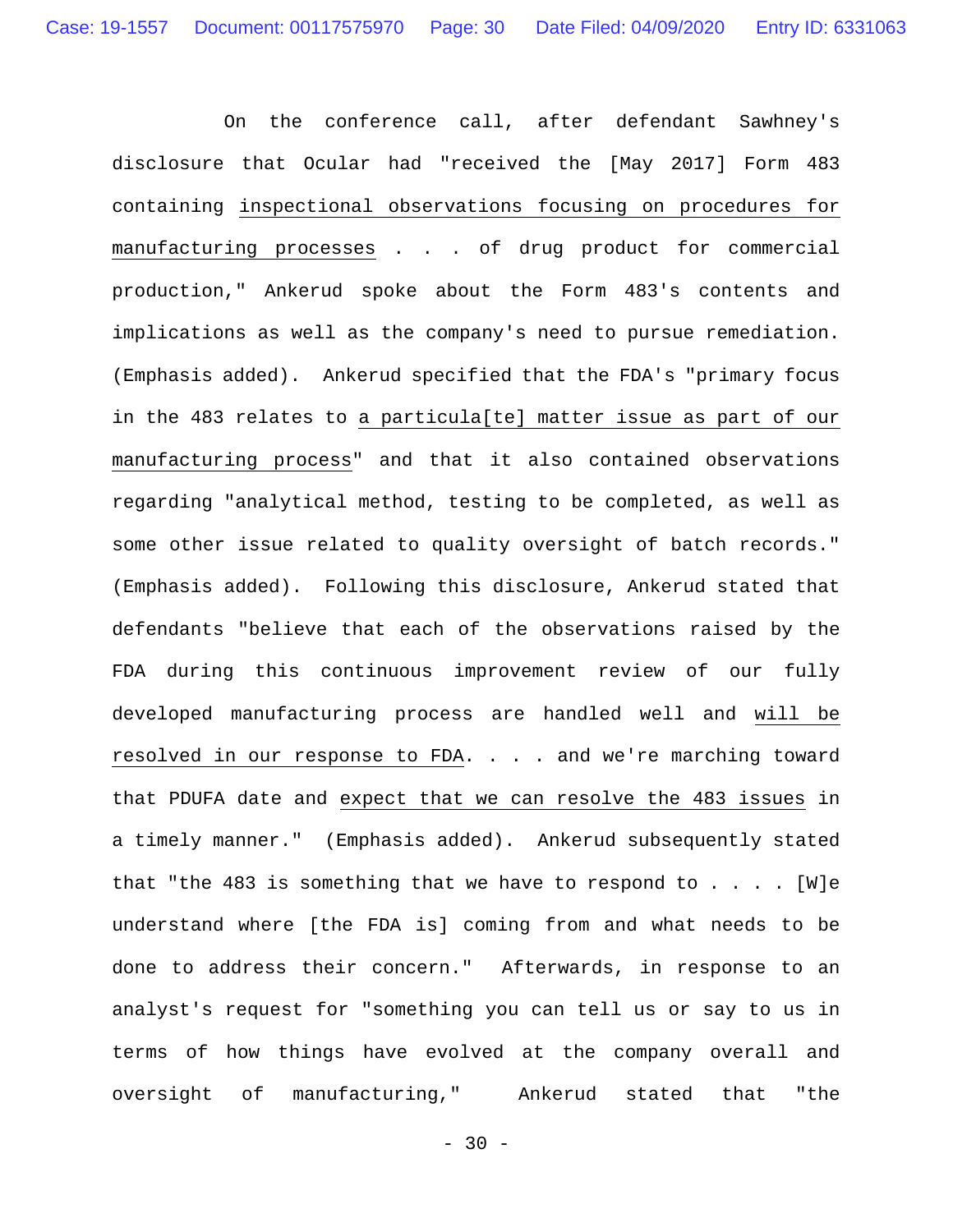On the conference call, after defendant Sawhney's disclosure that Ocular had "received the [May 2017] Form 483 containing inspectional observations focusing on procedures for manufacturing processes . . . of drug product for commercial production," Ankerud spoke about the Form 483's contents and implications as well as the company's need to pursue remediation. (Emphasis added). Ankerud specified that the FDA's "primary focus in the 483 relates to a particula[te] matter issue as part of our manufacturing process" and that it also contained observations regarding "analytical method, testing to be completed, as well as some other issue related to quality oversight of batch records." (Emphasis added). Following this disclosure, Ankerud stated that defendants "believe that each of the observations raised by the FDA during this continuous improvement review of our fully developed manufacturing process are handled well and will be resolved in our response to FDA. . . . and we're marching toward that PDUFA date and expect that we can resolve the 483 issues in a timely manner." (Emphasis added). Ankerud subsequently stated that "the 483 is something that we have to respond to  $\ldots$ . [W]e understand where [the FDA is] coming from and what needs to be done to address their concern." Afterwards, in response to an analyst's request for "something you can tell us or say to us in terms of how things have evolved at the company overall and oversight of manufacturing," Ankerud stated that "the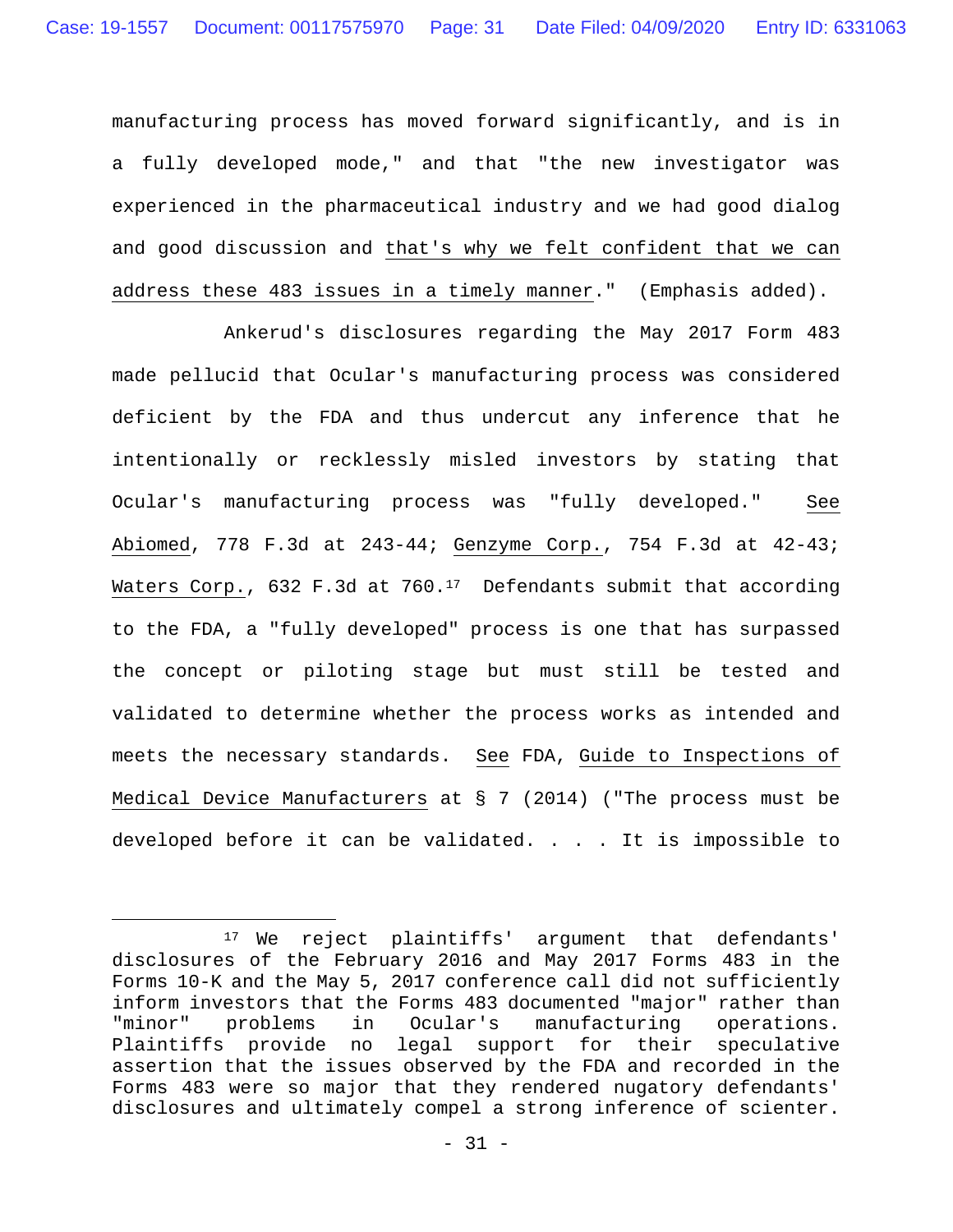manufacturing process has moved forward significantly, and is in a fully developed mode," and that "the new investigator was experienced in the pharmaceutical industry and we had good dialog and good discussion and that's why we felt confident that we can address these 483 issues in a timely manner." (Emphasis added).

Ankerud's disclosures regarding the May 2017 Form 483 made pellucid that Ocular's manufacturing process was considered deficient by the FDA and thus undercut any inference that he intentionally or recklessly misled investors by stating that Ocular's manufacturing process was "fully developed." See Abiomed, 778 F.3d at 243-44; Genzyme Corp., 754 F.3d at 42-43; Waters Corp., 632 F.3d at 760.<sup>17</sup> Defendants submit that according to the FDA, a "fully developed" process is one that has surpassed the concept or piloting stage but must still be tested and validated to determine whether the process works as intended and meets the necessary standards. See FDA, Guide to Inspections of Medical Device Manufacturers at § 7 (2014) ("The process must be developed before it can be validated. . . . It is impossible to

 <sup>17</sup> We reject plaintiffs' argument that defendants' disclosures of the February 2016 and May 2017 Forms 483 in the Forms 10-K and the May 5, 2017 conference call did not sufficiently inform investors that the Forms 483 documented "major" rather than "minor" problems in Ocular's manufacturing operations. Plaintiffs provide no legal support for their speculative assertion that the issues observed by the FDA and recorded in the Forms 483 were so major that they rendered nugatory defendants' disclosures and ultimately compel a strong inference of scienter.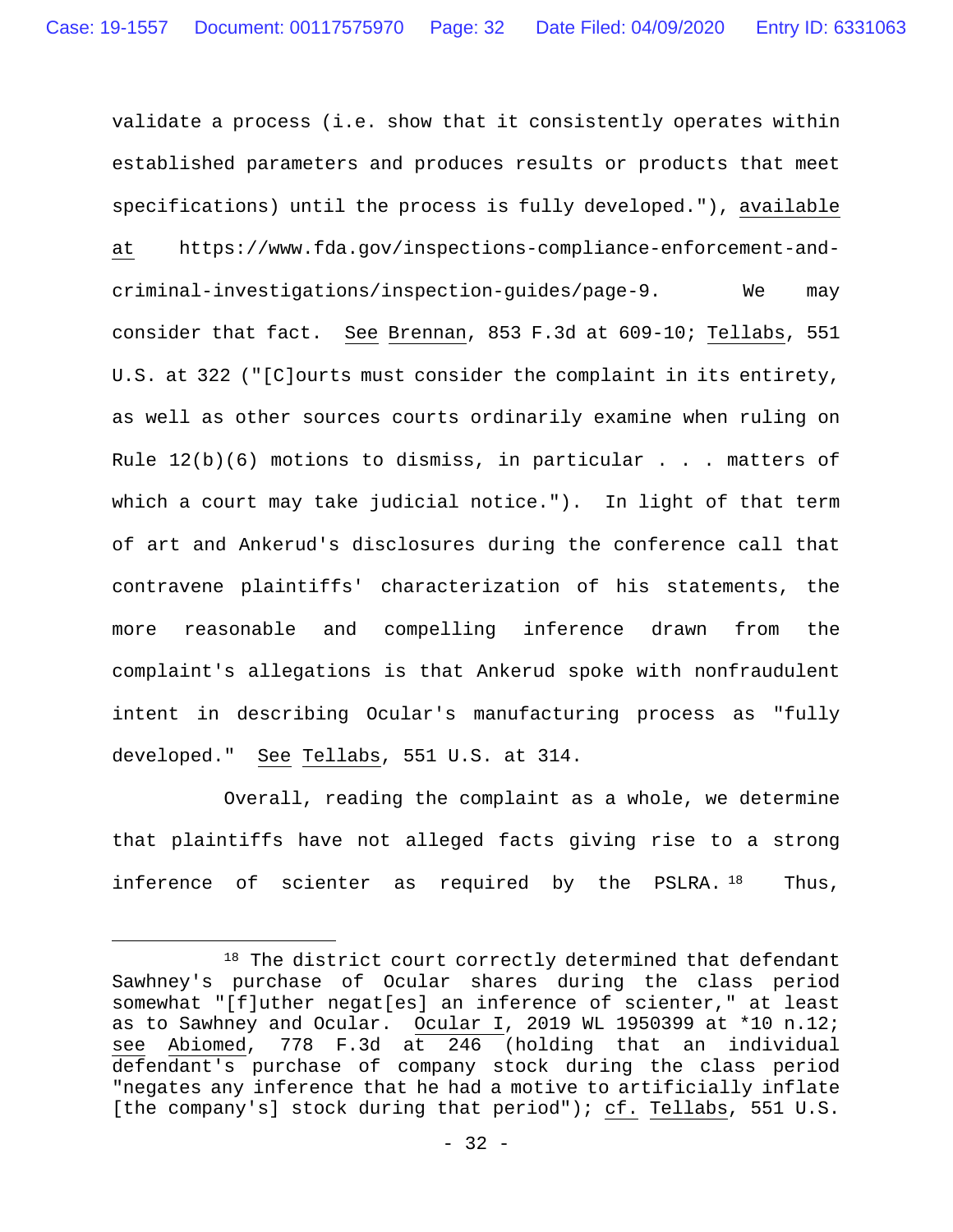validate a process (i.e. show that it consistently operates within established parameters and produces results or products that meet specifications) until the process is fully developed."), available at https://www.fda.gov/inspections-compliance-enforcement-andcriminal-investigations/inspection-guides/page-9. We may consider that fact. See Brennan, 853 F.3d at 609-10; Tellabs, 551 U.S. at 322 ("[C]ourts must consider the complaint in its entirety, as well as other sources courts ordinarily examine when ruling on Rule  $12(b)(6)$  motions to dismiss, in particular . . . matters of which a court may take judicial notice."). In light of that term of art and Ankerud's disclosures during the conference call that contravene plaintiffs' characterization of his statements, the more reasonable and compelling inference drawn from the complaint's allegations is that Ankerud spoke with nonfraudulent intent in describing Ocular's manufacturing process as "fully developed." See Tellabs, 551 U.S. at 314.

 Overall, reading the complaint as a whole, we determine that plaintiffs have not alleged facts giving rise to a strong inference of scienter as required by the PSLRA. <sup>18</sup> Thus,

<sup>18</sup> The district court correctly determined that defendant Sawhney's purchase of Ocular shares during the class period somewhat "[f]uther negat[es] an inference of scienter," at least as to Sawhney and Ocular. Ocular I, 2019 WL 1950399 at \*10 n.12; see Abiomed, 778 F.3d at 246 (holding that an individual defendant's purchase of company stock during the class period "negates any inference that he had a motive to artificially inflate [the company's] stock during that period"); cf. Tellabs, 551 U.S.